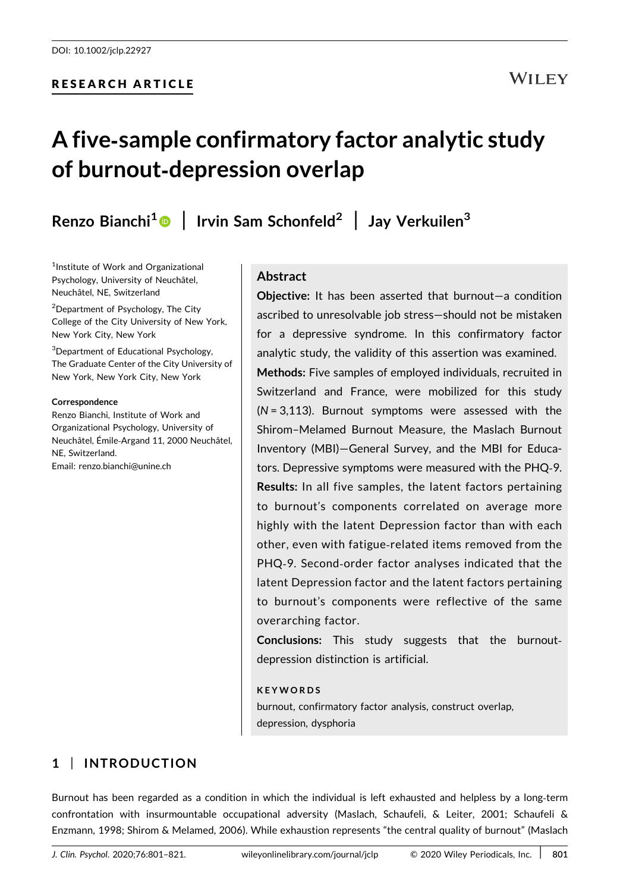# RESEARCH ARTICLE

# WILEY

# A five‐sample confirmatory factor analytic study of burnout‐depression overlap

Renzo Bianchi<sup>1</sup> | Irvin Sam Schonfeld<sup>2</sup> | Jay Verkuilen<sup>3</sup>

<sup>1</sup>Institute of Work and Organizational Psychology, University of Neuchâtel, Neuchâtel, NE, Switzerland

2 Department of Psychology, The City College of the City University of New York, New York City, New York

3 Department of Educational Psychology, The Graduate Center of the City University of New York, New York City, New York

#### Correspondence

Renzo Bianchi, Institute of Work and Organizational Psychology, University of Neuchâtel, Émile‐Argand 11, 2000 Neuchâtel, NE, Switzerland. Email: [renzo.bianchi@unine.ch](mailto:renzo.bianchi@unine.ch)

# Abstract

Objective: It has been asserted that burnout—a condition ascribed to unresolvable job stress—should not be mistaken for a depressive syndrome. In this confirmatory factor analytic study, the validity of this assertion was examined. Methods: Five samples of employed individuals, recruited in Switzerland and France, were mobilized for this study  $(N = 3.113)$ . Burnout symptoms were assessed with the Shirom–Melamed Burnout Measure, the Maslach Burnout Inventory (MBI)—General Survey, and the MBI for Educators. Depressive symptoms were measured with the PHQ‐9. Results: In all five samples, the latent factors pertaining to burnout's components correlated on average more highly with the latent Depression factor than with each other, even with fatigue‐related items removed from the PHQ‐9. Second‐order factor analyses indicated that the latent Depression factor and the latent factors pertaining to burnout's components were reflective of the same overarching factor.

Conclusions: This study suggests that the burnout‐ depression distinction is artificial.

#### KEYWORDS

burnout, confirmatory factor analysis, construct overlap, depression, dysphoria

# 1 | INTRODUCTION

Burnout has been regarded as a condition in which the individual is left exhausted and helpless by a long-term confrontation with insurmountable occupational adversity (Maslach, Schaufeli, & Leiter, 2001; Schaufeli & Enzmann, 1998; Shirom & Melamed, 2006). While exhaustion represents "the central quality of burnout" (Maslach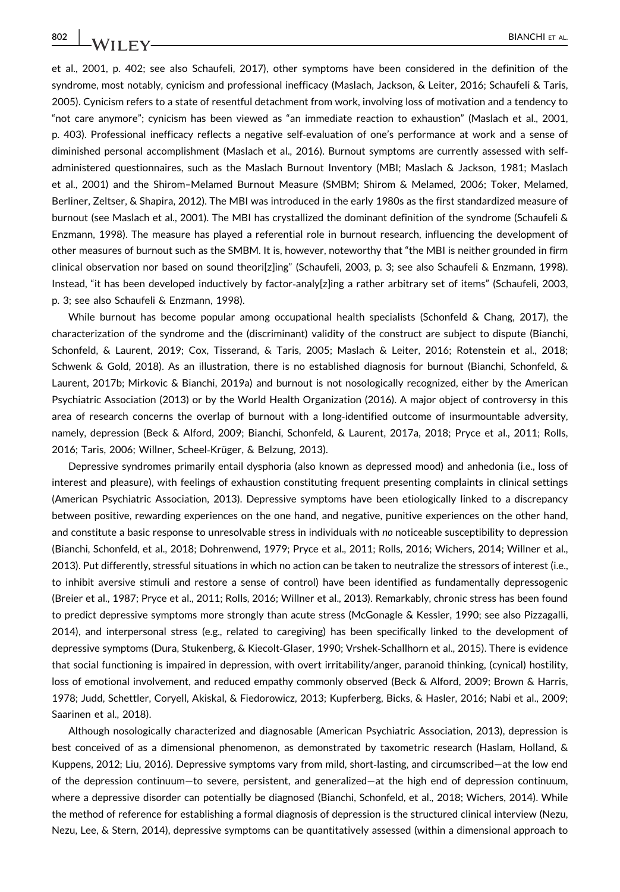et al., 2001, p. 402; see also Schaufeli, 2017), other symptoms have been considered in the definition of the syndrome, most notably, cynicism and professional inefficacy (Maslach, Jackson, & Leiter, 2016; Schaufeli & Taris, 2005). Cynicism refers to a state of resentful detachment from work, involving loss of motivation and a tendency to "not care anymore"; cynicism has been viewed as "an immediate reaction to exhaustion" (Maslach et al., 2001, p. 403). Professional inefficacy reflects a negative self‐evaluation of one's performance at work and a sense of diminished personal accomplishment (Maslach et al., 2016). Burnout symptoms are currently assessed with self‐ administered questionnaires, such as the Maslach Burnout Inventory (MBI; Maslach & Jackson, 1981; Maslach et al., 2001) and the Shirom–Melamed Burnout Measure (SMBM; Shirom & Melamed, 2006; Toker, Melamed, Berliner, Zeltser, & Shapira, 2012). The MBI was introduced in the early 1980s as the first standardized measure of burnout (see Maslach et al., 2001). The MBI has crystallized the dominant definition of the syndrome (Schaufeli & Enzmann, 1998). The measure has played a referential role in burnout research, influencing the development of other measures of burnout such as the SMBM. It is, however, noteworthy that "the MBI is neither grounded in firm clinical observation nor based on sound theori[z]ing" (Schaufeli, 2003, p. 3; see also Schaufeli & Enzmann, 1998). Instead, "it has been developed inductively by factor-analy[z]ing a rather arbitrary set of items" (Schaufeli, 2003, p. 3; see also Schaufeli & Enzmann, 1998).

While burnout has become popular among occupational health specialists (Schonfeld & Chang, 2017), the characterization of the syndrome and the (discriminant) validity of the construct are subject to dispute (Bianchi, Schonfeld, & Laurent, 2019; Cox, Tisserand, & Taris, 2005; Maslach & Leiter, 2016; Rotenstein et al., 2018; Schwenk & Gold, 2018). As an illustration, there is no established diagnosis for burnout (Bianchi, Schonfeld, & Laurent, 2017b; Mirkovic & Bianchi, 2019a) and burnout is not nosologically recognized, either by the American Psychiatric Association (2013) or by the World Health Organization (2016). A major object of controversy in this area of research concerns the overlap of burnout with a long‐identified outcome of insurmountable adversity, namely, depression (Beck & Alford, 2009; Bianchi, Schonfeld, & Laurent, 2017a, 2018; Pryce et al., 2011; Rolls, 2016; Taris, 2006; Willner, Scheel‐Krüger, & Belzung, 2013).

Depressive syndromes primarily entail dysphoria (also known as depressed mood) and anhedonia (i.e., loss of interest and pleasure), with feelings of exhaustion constituting frequent presenting complaints in clinical settings (American Psychiatric Association, 2013). Depressive symptoms have been etiologically linked to a discrepancy between positive, rewarding experiences on the one hand, and negative, punitive experiences on the other hand, and constitute a basic response to unresolvable stress in individuals with no noticeable susceptibility to depression (Bianchi, Schonfeld, et al., 2018; Dohrenwend, 1979; Pryce et al., 2011; Rolls, 2016; Wichers, 2014; Willner et al., 2013). Put differently, stressful situations in which no action can be taken to neutralize the stressors of interest (i.e., to inhibit aversive stimuli and restore a sense of control) have been identified as fundamentally depressogenic (Breier et al., 1987; Pryce et al., 2011; Rolls, 2016; Willner et al., 2013). Remarkably, chronic stress has been found to predict depressive symptoms more strongly than acute stress (McGonagle & Kessler, 1990; see also Pizzagalli, 2014), and interpersonal stress (e.g., related to caregiving) has been specifically linked to the development of depressive symptoms (Dura, Stukenberg, & Kiecolt‐Glaser, 1990; Vrshek‐Schallhorn et al., 2015). There is evidence that social functioning is impaired in depression, with overt irritability/anger, paranoid thinking, (cynical) hostility, loss of emotional involvement, and reduced empathy commonly observed (Beck & Alford, 2009; Brown & Harris, 1978; Judd, Schettler, Coryell, Akiskal, & Fiedorowicz, 2013; Kupferberg, Bicks, & Hasler, 2016; Nabi et al., 2009; Saarinen et al., 2018).

Although nosologically characterized and diagnosable (American Psychiatric Association, 2013), depression is best conceived of as a dimensional phenomenon, as demonstrated by taxometric research (Haslam, Holland, & Kuppens, 2012; Liu, 2016). Depressive symptoms vary from mild, short‐lasting, and circumscribed—at the low end of the depression continuum—to severe, persistent, and generalized—at the high end of depression continuum, where a depressive disorder can potentially be diagnosed (Bianchi, Schonfeld, et al., 2018; Wichers, 2014). While the method of reference for establishing a formal diagnosis of depression is the structured clinical interview (Nezu, Nezu, Lee, & Stern, 2014), depressive symptoms can be quantitatively assessed (within a dimensional approach to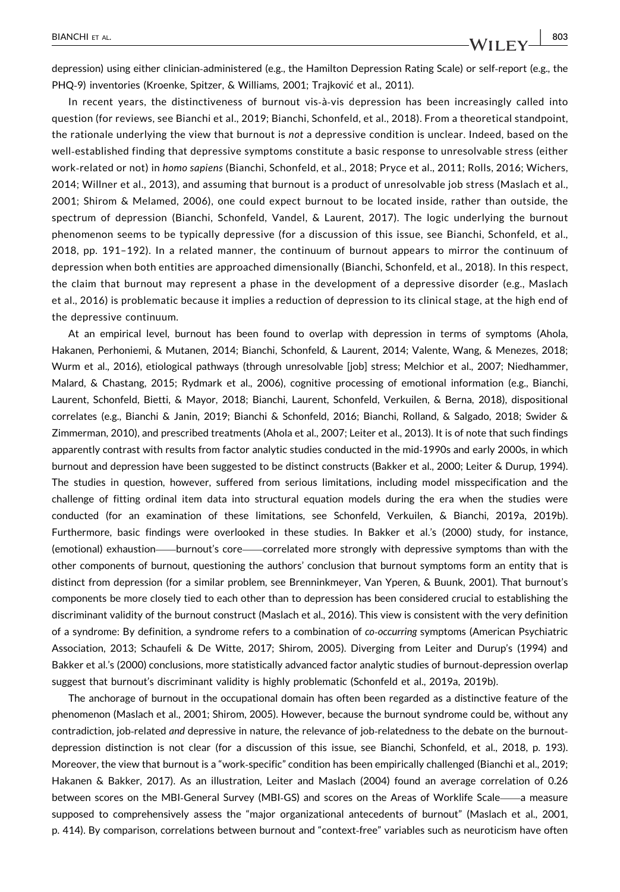depression) using either clinician‐administered (e.g., the Hamilton Depression Rating Scale) or self‐report (e.g., the PHQ‐9) inventories (Kroenke, Spitzer, & Williams, 2001; Trajković et al., 2011).

In recent years, the distinctiveness of burnout vis-à-vis depression has been increasingly called into question (for reviews, see Bianchi et al., 2019; Bianchi, Schonfeld, et al., 2018). From a theoretical standpoint, the rationale underlying the view that burnout is not a depressive condition is unclear. Indeed, based on the well‐established finding that depressive symptoms constitute a basic response to unresolvable stress (either work-related or not) in homo sapiens (Bianchi, Schonfeld, et al., 2018; Pryce et al., 2011; Rolls, 2016; Wichers, 2014; Willner et al., 2013), and assuming that burnout is a product of unresolvable job stress (Maslach et al., 2001; Shirom & Melamed, 2006), one could expect burnout to be located inside, rather than outside, the spectrum of depression (Bianchi, Schonfeld, Vandel, & Laurent, 2017). The logic underlying the burnout phenomenon seems to be typically depressive (for a discussion of this issue, see Bianchi, Schonfeld, et al., 2018, pp. 191–192). In a related manner, the continuum of burnout appears to mirror the continuum of depression when both entities are approached dimensionally (Bianchi, Schonfeld, et al., 2018). In this respect, the claim that burnout may represent a phase in the development of a depressive disorder (e.g., Maslach et al., 2016) is problematic because it implies a reduction of depression to its clinical stage, at the high end of the depressive continuum.

At an empirical level, burnout has been found to overlap with depression in terms of symptoms (Ahola, Hakanen, Perhoniemi, & Mutanen, 2014; Bianchi, Schonfeld, & Laurent, 2014; Valente, Wang, & Menezes, 2018; Wurm et al., 2016), etiological pathways (through unresolvable [job] stress; Melchior et al., 2007; Niedhammer, Malard, & Chastang, 2015; Rydmark et al., 2006), cognitive processing of emotional information (e.g., Bianchi, Laurent, Schonfeld, Bietti, & Mayor, 2018; Bianchi, Laurent, Schonfeld, Verkuilen, & Berna, 2018), dispositional correlates (e.g., Bianchi & Janin, 2019; Bianchi & Schonfeld, 2016; Bianchi, Rolland, & Salgado, 2018; Swider & Zimmerman, 2010), and prescribed treatments (Ahola et al., 2007; Leiter et al., 2013). It is of note that such findings apparently contrast with results from factor analytic studies conducted in the mid‐1990s and early 2000s, in which burnout and depression have been suggested to be distinct constructs (Bakker et al., 2000; Leiter & Durup, 1994). The studies in question, however, suffered from serious limitations, including model misspecification and the challenge of fitting ordinal item data into structural equation models during the era when the studies were conducted (for an examination of these limitations, see Schonfeld, Verkuilen, & Bianchi, 2019a, 2019b). Furthermore, basic findings were overlooked in these studies. In Bakker et al.'s (2000) study, for instance, (emotional) exhaustion—burnout's core—correlated more strongly with depressive symptoms than with the other components of burnout, questioning the authors' conclusion that burnout symptoms form an entity that is distinct from depression (for a similar problem, see Brenninkmeyer, Van Yperen, & Buunk, 2001). That burnout's components be more closely tied to each other than to depression has been considered crucial to establishing the discriminant validity of the burnout construct (Maslach et al., 2016). This view is consistent with the very definition of a syndrome: By definition, a syndrome refers to a combination of co‐occurring symptoms (American Psychiatric Association, 2013; Schaufeli & De Witte, 2017; Shirom, 2005). Diverging from Leiter and Durup's (1994) and Bakker et al.'s (2000) conclusions, more statistically advanced factor analytic studies of burnout‐depression overlap suggest that burnout's discriminant validity is highly problematic (Schonfeld et al., 2019a, 2019b).

The anchorage of burnout in the occupational domain has often been regarded as a distinctive feature of the phenomenon (Maslach et al., 2001; Shirom, 2005). However, because the burnout syndrome could be, without any contradiction, job-related and depressive in nature, the relevance of job-relatedness to the debate on the burnoutdepression distinction is not clear (for a discussion of this issue, see Bianchi, Schonfeld, et al., 2018, p. 193). Moreover, the view that burnout is a "work-specific" condition has been empirically challenged (Bianchi et al., 2019; Hakanen & Bakker, 2017). As an illustration, Leiter and Maslach (2004) found an average correlation of 0.26 between scores on the MBI‐General Survey (MBI‐GS) and scores on the Areas of Worklife Scale—a measure supposed to comprehensively assess the "major organizational antecedents of burnout" (Maslach et al., 2001, p. 414). By comparison, correlations between burnout and "context‐free" variables such as neuroticism have often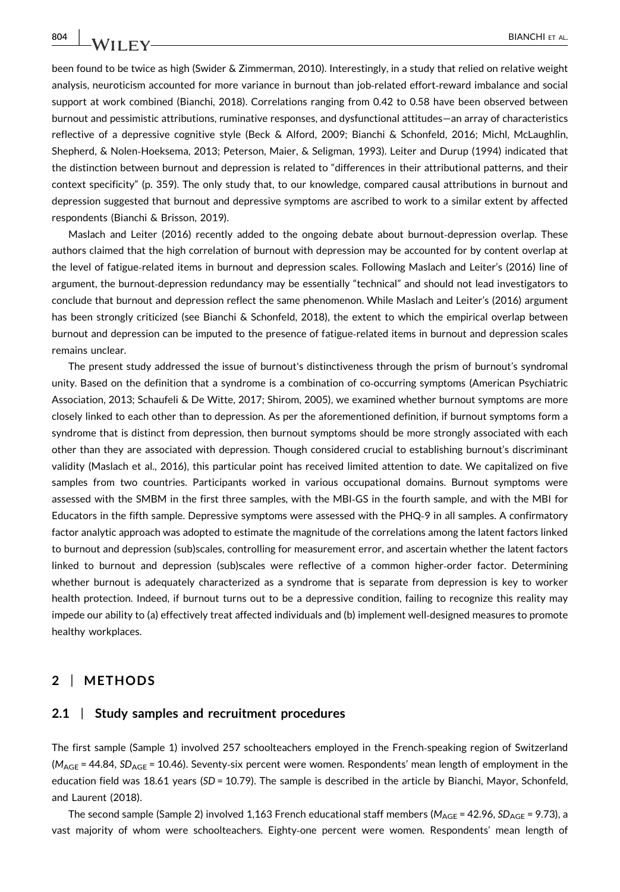been found to be twice as high (Swider & Zimmerman, 2010). Interestingly, in a study that relied on relative weight analysis, neuroticism accounted for more variance in burnout than job-related effort-reward imbalance and social support at work combined (Bianchi, 2018). Correlations ranging from 0.42 to 0.58 have been observed between burnout and pessimistic attributions, ruminative responses, and dysfunctional attitudes—an array of characteristics reflective of a depressive cognitive style (Beck & Alford, 2009; Bianchi & Schonfeld, 2016; Michl, McLaughlin, Shepherd, & Nolen‐Hoeksema, 2013; Peterson, Maier, & Seligman, 1993). Leiter and Durup (1994) indicated that the distinction between burnout and depression is related to "differences in their attributional patterns, and their context specificity" (p. 359). The only study that, to our knowledge, compared causal attributions in burnout and depression suggested that burnout and depressive symptoms are ascribed to work to a similar extent by affected respondents (Bianchi & Brisson, 2019).

Maslach and Leiter (2016) recently added to the ongoing debate about burnout-depression overlap. These authors claimed that the high correlation of burnout with depression may be accounted for by content overlap at the level of fatigue‐related items in burnout and depression scales. Following Maslach and Leiter's (2016) line of argument, the burnout‐depression redundancy may be essentially "technical" and should not lead investigators to conclude that burnout and depression reflect the same phenomenon. While Maslach and Leiter's (2016) argument has been strongly criticized (see Bianchi & Schonfeld, 2018), the extent to which the empirical overlap between burnout and depression can be imputed to the presence of fatigue‐related items in burnout and depression scales remains unclear.

The present study addressed the issue of burnout's distinctiveness through the prism of burnout's syndromal unity. Based on the definition that a syndrome is a combination of co‐occurring symptoms (American Psychiatric Association, 2013; Schaufeli & De Witte, 2017; Shirom, 2005), we examined whether burnout symptoms are more closely linked to each other than to depression. As per the aforementioned definition, if burnout symptoms form a syndrome that is distinct from depression, then burnout symptoms should be more strongly associated with each other than they are associated with depression. Though considered crucial to establishing burnout's discriminant validity (Maslach et al., 2016), this particular point has received limited attention to date. We capitalized on five samples from two countries. Participants worked in various occupational domains. Burnout symptoms were assessed with the SMBM in the first three samples, with the MBI‐GS in the fourth sample, and with the MBI for Educators in the fifth sample. Depressive symptoms were assessed with the PHQ‐9 in all samples. A confirmatory factor analytic approach was adopted to estimate the magnitude of the correlations among the latent factors linked to burnout and depression (sub)scales, controlling for measurement error, and ascertain whether the latent factors linked to burnout and depression (sub)scales were reflective of a common higher‐order factor. Determining whether burnout is adequately characterized as a syndrome that is separate from depression is key to worker health protection. Indeed, if burnout turns out to be a depressive condition, failing to recognize this reality may impede our ability to (a) effectively treat affected individuals and (b) implement well‐designed measures to promote healthy workplaces.

### 2 | METHODS

# 2.1 | Study samples and recruitment procedures

The first sample (Sample 1) involved 257 schoolteachers employed in the French‐speaking region of Switzerland  $(M_{AGE} = 44.84, SD_{AGE} = 10.46)$ . Seventy-six percent were women. Respondents' mean length of employment in the education field was 18.61 years (SD = 10.79). The sample is described in the article by Bianchi, Mayor, Schonfeld, and Laurent (2018).

The second sample (Sample 2) involved 1,163 French educational staff members ( $M_{\text{AGE}}$  = 42.96, SD<sub>AGE</sub> = 9.73), a vast majority of whom were schoolteachers. Eighty‐one percent were women. Respondents' mean length of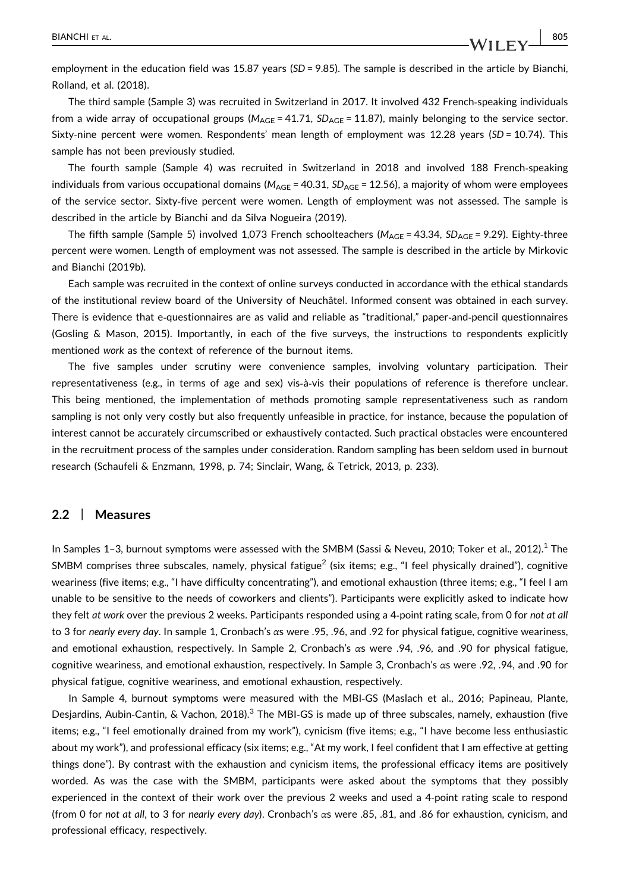employment in the education field was 15.87 years (SD = 9.85). The sample is described in the article by Bianchi, Rolland, et al. (2018).

The third sample (Sample 3) was recruited in Switzerland in 2017. It involved 432 French‐speaking individuals from a wide array of occupational groups ( $M_{\text{AGE}} = 41.71$ ,  $SD_{\text{AGE}} = 11.87$ ), mainly belonging to the service sector. Sixty-nine percent were women. Respondents' mean length of employment was 12.28 years (SD = 10.74). This sample has not been previously studied.

The fourth sample (Sample 4) was recruited in Switzerland in 2018 and involved 188 French‐speaking individuals from various occupational domains ( $M_{AGE}$  = 40.31,  $SD_{AGE}$  = 12.56), a majority of whom were employees of the service sector. Sixty‐five percent were women. Length of employment was not assessed. The sample is described in the article by Bianchi and da Silva Nogueira (2019).

The fifth sample (Sample 5) involved 1,073 French schoolteachers ( $M_{AGE} = 43.34$ ,  $SD_{AGE} = 9.29$ ). Eighty-three percent were women. Length of employment was not assessed. The sample is described in the article by Mirkovic and Bianchi (2019b).

Each sample was recruited in the context of online surveys conducted in accordance with the ethical standards of the institutional review board of the University of Neuchâtel. Informed consent was obtained in each survey. There is evidence that e‐questionnaires are as valid and reliable as "traditional," paper‐and‐pencil questionnaires (Gosling & Mason, 2015). Importantly, in each of the five surveys, the instructions to respondents explicitly mentioned work as the context of reference of the burnout items.

The five samples under scrutiny were convenience samples, involving voluntary participation. Their representativeness (e.g., in terms of age and sex) vis‐à‐vis their populations of reference is therefore unclear. This being mentioned, the implementation of methods promoting sample representativeness such as random sampling is not only very costly but also frequently unfeasible in practice, for instance, because the population of interest cannot be accurately circumscribed or exhaustively contacted. Such practical obstacles were encountered in the recruitment process of the samples under consideration. Random sampling has been seldom used in burnout research (Schaufeli & Enzmann, 1998, p. 74; Sinclair, Wang, & Tetrick, 2013, p. 233).

#### 2.2 | Measures

In Samples 1–3, burnout symptoms were assessed with the SMBM (Sassi & Neveu, 2010; Toker et al., 2012).<sup>1</sup> The SMBM comprises three subscales, namely, physical fatigue<sup>2</sup> (six items; e.g., "I feel physically drained"), cognitive weariness (five items; e.g., "I have difficulty concentrating"), and emotional exhaustion (three items; e.g., "I feel I am unable to be sensitive to the needs of coworkers and clients"). Participants were explicitly asked to indicate how they felt at work over the previous 2 weeks. Participants responded using a 4-point rating scale, from 0 for not at all to 3 for nearly every day. In sample 1, Cronbach's αs were .95, .96, and .92 for physical fatigue, cognitive weariness, and emotional exhaustion, respectively. In Sample 2, Cronbach's αs were .94, .96, and .90 for physical fatigue, cognitive weariness, and emotional exhaustion, respectively. In Sample 3, Cronbach's αs were .92, .94, and .90 for physical fatigue, cognitive weariness, and emotional exhaustion, respectively.

In Sample 4, burnout symptoms were measured with the MBI-GS (Maslach et al., 2016; Papineau, Plante, Desjardins, Aubin-Cantin, & Vachon, 2018).<sup>3</sup> The MBI-GS is made up of three subscales, namely, exhaustion (five items; e.g., "I feel emotionally drained from my work"), cynicism (five items; e.g., "I have become less enthusiastic about my work"), and professional efficacy (six items; e.g., "At my work, I feel confident that I am effective at getting things done"). By contrast with the exhaustion and cynicism items, the professional efficacy items are positively worded. As was the case with the SMBM, participants were asked about the symptoms that they possibly experienced in the context of their work over the previous 2 weeks and used a 4‐point rating scale to respond (from 0 for not at all, to 3 for nearly every day). Cronbach's αs were .85, .81, and .86 for exhaustion, cynicism, and professional efficacy, respectively.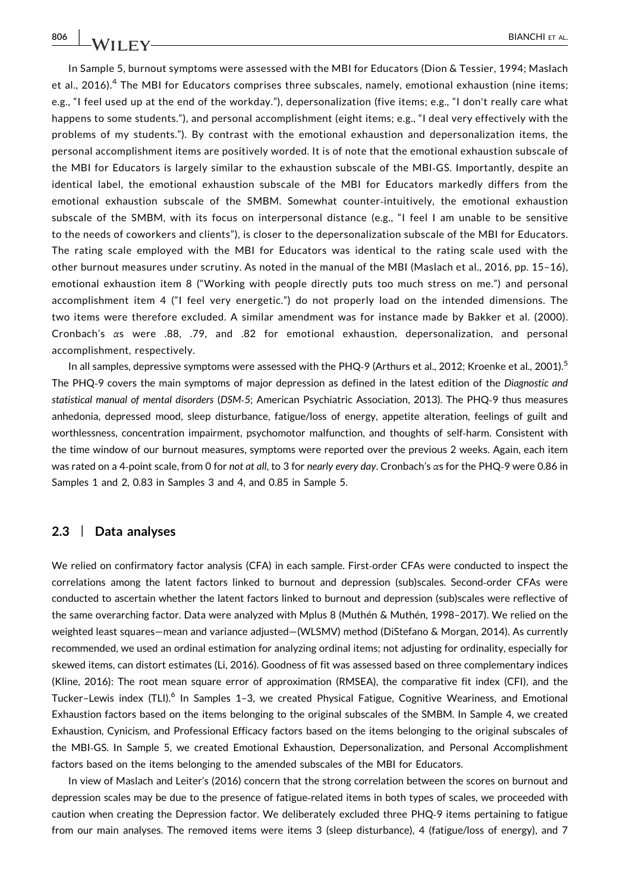In Sample 5, burnout symptoms were assessed with the MBI for Educators (Dion & Tessier, 1994; Maslach et al., 2016).<sup>4</sup> The MBI for Educators comprises three subscales, namely, emotional exhaustion (nine items; e.g., "I feel used up at the end of the workday."), depersonalization (five items; e.g., "I don't really care what happens to some students."), and personal accomplishment (eight items; e.g., "I deal very effectively with the problems of my students."). By contrast with the emotional exhaustion and depersonalization items, the personal accomplishment items are positively worded. It is of note that the emotional exhaustion subscale of the MBI for Educators is largely similar to the exhaustion subscale of the MBI‐GS. Importantly, despite an identical label, the emotional exhaustion subscale of the MBI for Educators markedly differs from the emotional exhaustion subscale of the SMBM. Somewhat counter‐intuitively, the emotional exhaustion subscale of the SMBM, with its focus on interpersonal distance (e.g., "I feel I am unable to be sensitive to the needs of coworkers and clients"), is closer to the depersonalization subscale of the MBI for Educators. The rating scale employed with the MBI for Educators was identical to the rating scale used with the other burnout measures under scrutiny. As noted in the manual of the MBI (Maslach et al., 2016, pp. 15–16), emotional exhaustion item 8 ("Working with people directly puts too much stress on me.") and personal accomplishment item 4 ("I feel very energetic.") do not properly load on the intended dimensions. The two items were therefore excluded. A similar amendment was for instance made by Bakker et al. (2000). Cronbach's αs were .88, .79, and .82 for emotional exhaustion, depersonalization, and personal accomplishment, respectively.

In all samples, depressive symptoms were assessed with the PHQ-9 (Arthurs et al., 2012; Kroenke et al., 2001).<sup>5</sup> The PHQ-9 covers the main symptoms of maior depression as defined in the latest edition of the Diagnostic and statistical manual of mental disorders (DSM‐5; American Psychiatric Association, 2013). The PHQ‐9 thus measures anhedonia, depressed mood, sleep disturbance, fatigue/loss of energy, appetite alteration, feelings of guilt and worthlessness, concentration impairment, psychomotor malfunction, and thoughts of self-harm. Consistent with the time window of our burnout measures, symptoms were reported over the previous 2 weeks. Again, each item was rated on a 4‐point scale, from 0 for not at all, to 3 for nearly every day. Cronbach's αs for the PHQ‐9 were 0.86 in Samples 1 and 2, 0.83 in Samples 3 and 4, and 0.85 in Sample 5.

## 2.3 | Data analyses

We relied on confirmatory factor analysis (CFA) in each sample. First-order CFAs were conducted to inspect the correlations among the latent factors linked to burnout and depression (sub)scales. Second-order CFAs were conducted to ascertain whether the latent factors linked to burnout and depression (sub)scales were reflective of the same overarching factor. Data were analyzed with Mplus 8 (Muthén & Muthén, 1998–2017). We relied on the weighted least squares—mean and variance adjusted—(WLSMV) method (DiStefano & Morgan, 2014). As currently recommended, we used an ordinal estimation for analyzing ordinal items; not adjusting for ordinality, especially for skewed items, can distort estimates (Li, 2016). Goodness of fit was assessed based on three complementary indices (Kline, 2016): The root mean square error of approximation (RMSEA), the comparative fit index (CFI), and the Tucker-Lewis index (TLI).<sup>6</sup> In Samples 1-3, we created Physical Fatigue, Cognitive Weariness, and Emotional Exhaustion factors based on the items belonging to the original subscales of the SMBM. In Sample 4, we created Exhaustion, Cynicism, and Professional Efficacy factors based on the items belonging to the original subscales of the MBI‐GS. In Sample 5, we created Emotional Exhaustion, Depersonalization, and Personal Accomplishment factors based on the items belonging to the amended subscales of the MBI for Educators.

In view of Maslach and Leiter's (2016) concern that the strong correlation between the scores on burnout and depression scales may be due to the presence of fatigue-related items in both types of scales, we proceeded with caution when creating the Depression factor. We deliberately excluded three PHQ‐9 items pertaining to fatigue from our main analyses. The removed items were items 3 (sleep disturbance), 4 (fatigue/loss of energy), and 7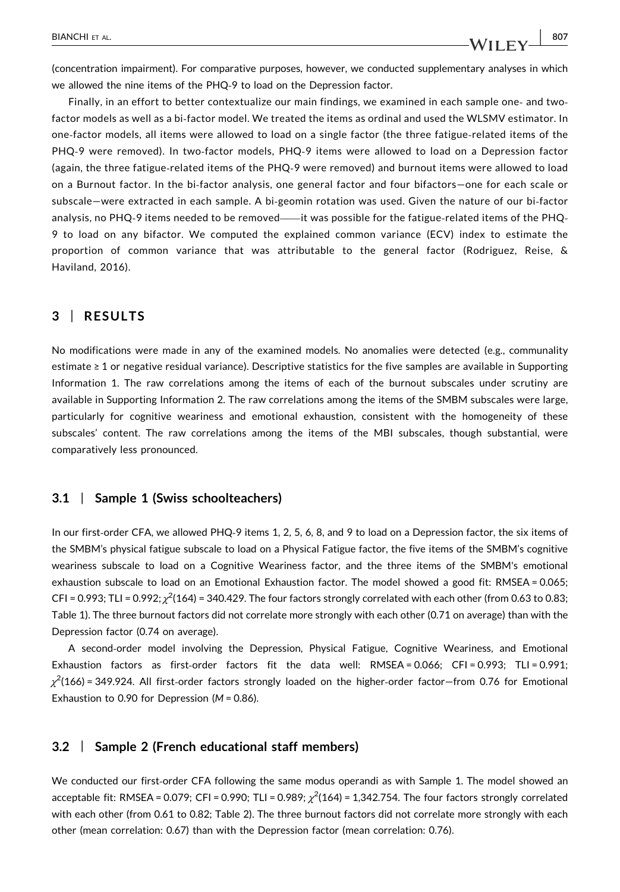(concentration impairment). For comparative purposes, however, we conducted supplementary analyses in which we allowed the nine items of the PHQ‐9 to load on the Depression factor.

Finally, in an effort to better contextualize our main findings, we examined in each sample one- and twofactor models as well as a bi‐factor model. We treated the items as ordinal and used the WLSMV estimator. In one‐factor models, all items were allowed to load on a single factor (the three fatigue‐related items of the PHQ-9 were removed). In two-factor models, PHQ-9 items were allowed to load on a Depression factor (again, the three fatigue‐related items of the PHQ‐9 were removed) and burnout items were allowed to load on a Burnout factor. In the bi‐factor analysis, one general factor and four bifactors—one for each scale or subscale—were extracted in each sample. A bi‐geomin rotation was used. Given the nature of our bi‐factor analysis, no PHQ-9 items needed to be removed——it was possible for the fatigue-related items of the PHQ-9 to load on any bifactor. We computed the explained common variance (ECV) index to estimate the proportion of common variance that was attributable to the general factor (Rodriguez, Reise, & Haviland, 2016).

# 3 | RESULTS

No modifications were made in any of the examined models. No anomalies were detected (e.g., communality estimate ≥ 1 or negative residual variance). Descriptive statistics for the five samples are available in Supporting Information 1. The raw correlations among the items of each of the burnout subscales under scrutiny are available in Supporting Information 2. The raw correlations among the items of the SMBM subscales were large, particularly for cognitive weariness and emotional exhaustion, consistent with the homogeneity of these subscales' content. The raw correlations among the items of the MBI subscales, though substantial, were comparatively less pronounced.

# 3.1 | Sample 1 (Swiss schoolteachers)

In our first-order CFA, we allowed PHQ-9 items 1, 2, 5, 6, 8, and 9 to load on a Depression factor, the six items of the SMBM's physical fatigue subscale to load on a Physical Fatigue factor, the five items of the SMBM's cognitive weariness subscale to load on a Cognitive Weariness factor, and the three items of the SMBM's emotional exhaustion subscale to load on an Emotional Exhaustion factor. The model showed a good fit: RMSEA = 0.065;  $CFI = 0.993$ ; TLI =  $0.992$ ;  $\chi^2(164)$  = 340.429. The four factors strongly correlated with each other (from 0.63 to 0.83; Table 1). The three burnout factors did not correlate more strongly with each other (0.71 on average) than with the Depression factor (0.74 on average).

A second‐order model involving the Depression, Physical Fatigue, Cognitive Weariness, and Emotional Exhaustion factors as first-order factors fit the data well: RMSEA = 0.066; CFI = 0.993; TLI = 0.991;  $\chi^2$ (166)=349.924. All first-order factors strongly loaded on the higher-order factor—from 0.76 for Emotional Exhaustion to 0.90 for Depression (M = 0.86).

## 3.2 | Sample 2 (French educational staff members)

We conducted our first-order CFA following the same modus operandi as with Sample 1. The model showed an acceptable fit: RMSEA = 0.079; CFI = 0.990; TLI = 0.989;  $\chi^2$ (164) = 1,342.754. The four factors strongly correlated with each other (from 0.61 to 0.82; Table 2). The three burnout factors did not correlate more strongly with each other (mean correlation: 0.67) than with the Depression factor (mean correlation: 0.76).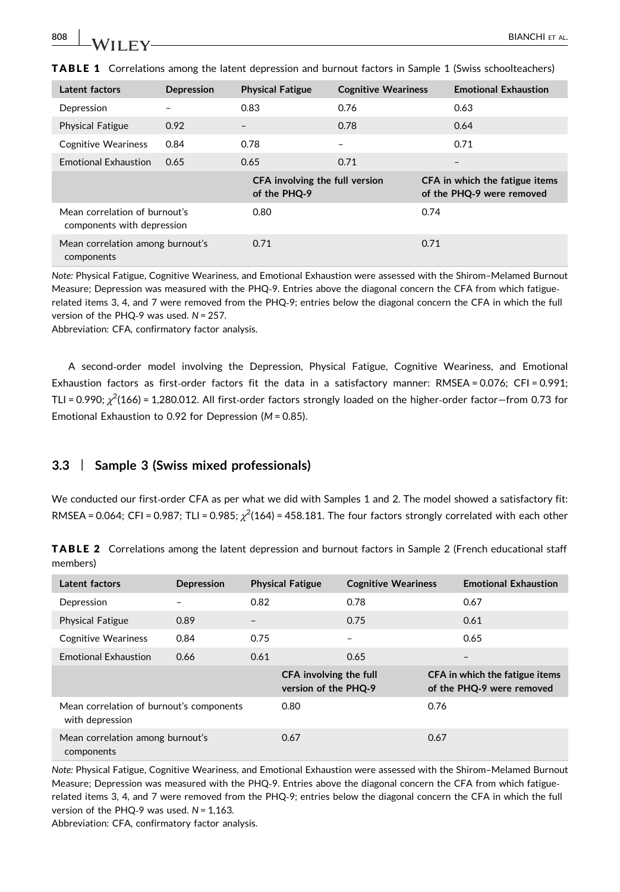| Latent factors                                              | Depression | <b>Physical Fatigue</b>                        | <b>Cognitive Weariness</b> |      | <b>Emotional Exhaustion</b>                                 |
|-------------------------------------------------------------|------------|------------------------------------------------|----------------------------|------|-------------------------------------------------------------|
| Depression                                                  |            | 0.83                                           | 0.76                       |      | 0.63                                                        |
| <b>Physical Fatigue</b>                                     | 0.92       | $\overline{\phantom{0}}$                       | 0.78                       |      | 0.64                                                        |
| <b>Cognitive Weariness</b>                                  | 0.84       | 0.78                                           |                            |      | 0.71                                                        |
| <b>Emotional Exhaustion</b>                                 | 0.65       | 0.65                                           | 0.71                       |      | $\qquad \qquad$                                             |
|                                                             |            | CFA involving the full version<br>of the PHQ-9 |                            |      | CFA in which the fatigue items<br>of the PHQ-9 were removed |
| Mean correlation of burnout's<br>components with depression |            | 0.80                                           |                            | 0.74 |                                                             |
|                                                             |            |                                                |                            |      |                                                             |

**TABLE 1** Correlations among the latent depression and burnout factors in Sample 1 (Swiss schoolteachers)

Note: Physical Fatigue, Cognitive Weariness, and Emotional Exhaustion were assessed with the Shirom–Melamed Burnout Measure; Depression was measured with the PHQ-9. Entries above the diagonal concern the CFA from which fatiguerelated items 3, 4, and 7 were removed from the PHQ‐9; entries below the diagonal concern the CFA in which the full version of the PHQ-9 was used. N = 257.

Abbreviation: CFA, confirmatory factor analysis.

A second‐order model involving the Depression, Physical Fatigue, Cognitive Weariness, and Emotional Exhaustion factors as first-order factors fit the data in a satisfactory manner: RMSEA = 0.076; CFI = 0.991; TLI = 0.990;  $\chi^2$ (166) = 1,280.012. All first-order factors strongly loaded on the higher-order factor—from 0.73 for Emotional Exhaustion to 0.92 for Depression ( $M = 0.85$ ).

# 3.3 | Sample 3 (Swiss mixed professionals)

We conducted our first-order CFA as per what we did with Samples 1 and 2. The model showed a satisfactory fit: RMSEA = 0.064; CFI = 0.987; TLI = 0.985;  $\chi^2$ (164) = 458.181. The four factors strongly correlated with each other

TABLE 2 Correlations among the latent depression and burnout factors in Sample 2 (French educational staff members)

| Latent factors                                              | Depression |                   | <b>Physical Fatigue</b>                        | <b>Cognitive Weariness</b> |      | <b>Emotional Exhaustion</b>                                 |
|-------------------------------------------------------------|------------|-------------------|------------------------------------------------|----------------------------|------|-------------------------------------------------------------|
| Depression                                                  |            | 0.82              |                                                | 0.78                       |      | 0.67                                                        |
| <b>Physical Fatigue</b>                                     | 0.89       | $\qquad \qquad -$ |                                                | 0.75                       |      | 0.61                                                        |
| <b>Cognitive Weariness</b>                                  | 0.84       | 0.75              |                                                | $\overline{\phantom{0}}$   |      | 0.65                                                        |
| <b>Emotional Exhaustion</b>                                 | 0.66       | 0.61              |                                                | 0.65                       |      | -                                                           |
|                                                             |            |                   | CFA involving the full<br>version of the PHQ-9 |                            |      | CFA in which the fatigue items<br>of the PHQ-9 were removed |
| Mean correlation of burnout's components<br>with depression |            |                   | 0.80                                           |                            | 0.76 |                                                             |
| Mean correlation among burnout's<br>components              |            | 0.67              |                                                | 0.67                       |      |                                                             |

Note: Physical Fatigue, Cognitive Weariness, and Emotional Exhaustion were assessed with the Shirom–Melamed Burnout Measure; Depression was measured with the PHQ-9. Entries above the diagonal concern the CFA from which fatiguerelated items 3, 4, and 7 were removed from the PHQ‐9; entries below the diagonal concern the CFA in which the full version of the PHQ-9 was used.  $N = 1,163$ .

Abbreviation: CFA, confirmatory factor analysis.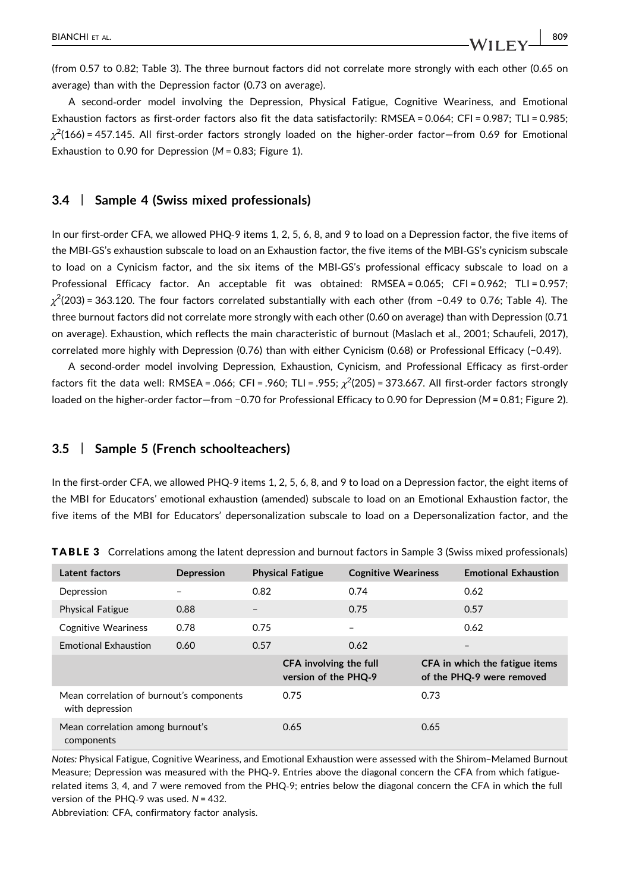(from 0.57 to 0.82; Table 3). The three burnout factors did not correlate more strongly with each other (0.65 on average) than with the Depression factor (0.73 on average).

A second‐order model involving the Depression, Physical Fatigue, Cognitive Weariness, and Emotional Exhaustion factors as first-order factors also fit the data satisfactorily: RMSEA = 0.064; CFI = 0.987; TLI = 0.985;  $\chi^2(166)$  = 457.145. All first-order factors strongly loaded on the higher-order factor—from 0.69 for Emotional Exhaustion to 0.90 for Depression ( $M = 0.83$ ; Figure 1).

### 3.4 | Sample 4 (Swiss mixed professionals)

In our first-order CFA, we allowed PHQ-9 items 1, 2, 5, 6, 8, and 9 to load on a Depression factor, the five items of the MBI‐GS's exhaustion subscale to load on an Exhaustion factor, the five items of the MBI‐GS's cynicism subscale to load on a Cynicism factor, and the six items of the MBI‐GS's professional efficacy subscale to load on a Professional Efficacy factor. An acceptable fit was obtained: RMSEA = 0.065; CFI = 0.962; TLI = 0.957;  $\chi^2$ (203) = 363.120. The four factors correlated substantially with each other (from −0.49 to 0.76; Table 4). The three burnout factors did not correlate more strongly with each other (0.60 on average) than with Depression (0.71 on average). Exhaustion, which reflects the main characteristic of burnout (Maslach et al., 2001; Schaufeli, 2017), correlated more highly with Depression (0.76) than with either Cynicism (0.68) or Professional Efficacy (−0.49).

A second‐order model involving Depression, Exhaustion, Cynicism, and Professional Efficacy as first‐order factors fit the data well: RMSEA = .066; CFI = .960; TLI = .955;  $\chi^2$ (205) = 373.667. All first-order factors strongly loaded on the higher‐order factor—from −0.70 for Professional Efficacy to 0.90 for Depression (M = 0.81; Figure 2).

#### 3.5 | Sample 5 (French schoolteachers)

In the first-order CFA, we allowed PHQ-9 items 1, 2, 5, 6, 8, and 9 to load on a Depression factor, the eight items of the MBI for Educators' emotional exhaustion (amended) subscale to load on an Emotional Exhaustion factor, the five items of the MBI for Educators' depersonalization subscale to load on a Depersonalization factor, and the

| Latent factors                                              | Depression |                          | <b>Physical Fatigue</b>                        | <b>Cognitive Weariness</b> |      | <b>Emotional Exhaustion</b>                                 |
|-------------------------------------------------------------|------------|--------------------------|------------------------------------------------|----------------------------|------|-------------------------------------------------------------|
| Depression                                                  | -          | 0.82                     |                                                | 0.74                       |      | 0.62                                                        |
| <b>Physical Fatigue</b>                                     | 0.88       | $\overline{\phantom{0}}$ |                                                | 0.75                       |      | 0.57                                                        |
| <b>Cognitive Weariness</b>                                  | 0.78       | 0.75                     |                                                | $\overline{\phantom{0}}$   |      | 0.62                                                        |
| <b>Emotional Exhaustion</b>                                 | 0.60       | 0.57                     |                                                | 0.62                       |      | $\qquad \qquad -$                                           |
|                                                             |            |                          | CFA involving the full<br>version of the PHQ-9 |                            |      | CFA in which the fatigue items<br>of the PHO-9 were removed |
| Mean correlation of burnout's components<br>with depression |            |                          | 0.75                                           |                            | 0.73 |                                                             |
| Mean correlation among burnout's<br>components              |            |                          | 0.65                                           |                            | 0.65 |                                                             |

TABLE 3 Correlations among the latent depression and burnout factors in Sample 3 (Swiss mixed professionals)

Notes: Physical Fatigue, Cognitive Weariness, and Emotional Exhaustion were assessed with the Shirom–Melamed Burnout Measure; Depression was measured with the PHQ‐9. Entries above the diagonal concern the CFA from which fatigue‐ related items 3, 4, and 7 were removed from the PHQ‐9; entries below the diagonal concern the CFA in which the full version of the PHQ-9 was used.  $N = 432$ .

Abbreviation: CFA, confirmatory factor analysis.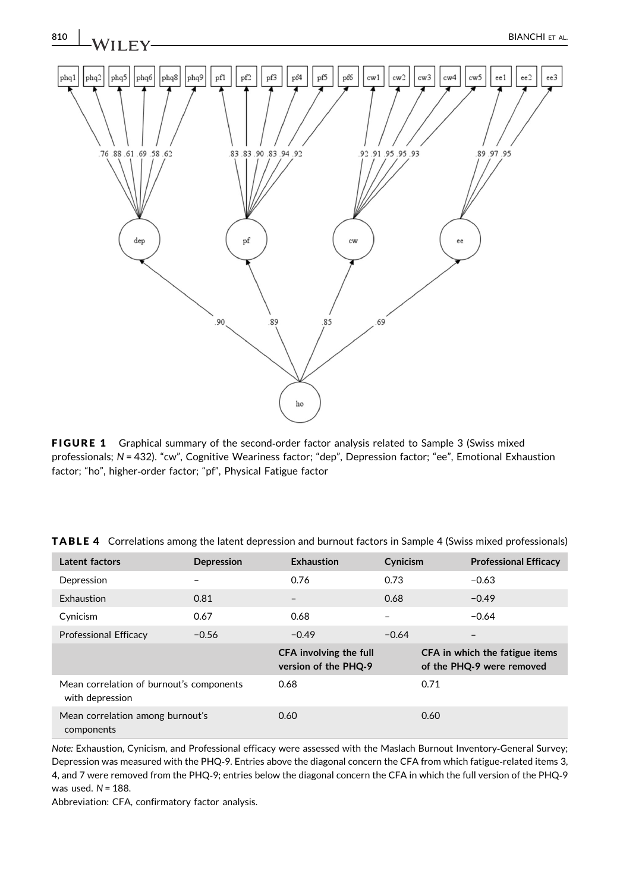

FIGURE 1 Graphical summary of the second-order factor analysis related to Sample 3 (Swiss mixed professionals; N = 432). "cw", Cognitive Weariness factor; "dep", Depression factor; "ee", Emotional Exhaustion factor; "ho", higher‐order factor; "pf", Physical Fatigue factor

| Latent factors                                              | Depression | Exhaustion                                     | Cynicism |      | <b>Professional Efficacy</b>                                |
|-------------------------------------------------------------|------------|------------------------------------------------|----------|------|-------------------------------------------------------------|
| Depression                                                  |            | 0.76                                           | 0.73     |      | $-0.63$                                                     |
| Exhaustion                                                  | 0.81       | $\overline{\phantom{0}}$                       | 0.68     |      | $-0.49$                                                     |
| Cynicism                                                    | 0.67       | 0.68                                           |          |      | $-0.64$                                                     |
| <b>Professional Efficacy</b>                                | $-0.56$    | $-0.49$                                        | $-0.64$  |      | $\overline{\phantom{0}}$                                    |
|                                                             |            | CFA involving the full<br>version of the PHQ-9 |          |      | CFA in which the fatigue items<br>of the PHQ-9 were removed |
| Mean correlation of burnout's components<br>with depression |            | 0.68                                           |          | 0.71 |                                                             |
| Mean correlation among burnout's<br>components              |            | 0.60                                           |          | 0.60 |                                                             |

TABLE 4 Correlations among the latent depression and burnout factors in Sample 4 (Swiss mixed professionals)

Note: Exhaustion, Cynicism, and Professional efficacy were assessed with the Maslach Burnout Inventory‐General Survey; Depression was measured with the PHQ-9. Entries above the diagonal concern the CFA from which fatigue-related items 3, 4, and 7 were removed from the PHQ‐9; entries below the diagonal concern the CFA in which the full version of the PHQ‐9 was used.  $N = 188$ .

Abbreviation: CFA, confirmatory factor analysis.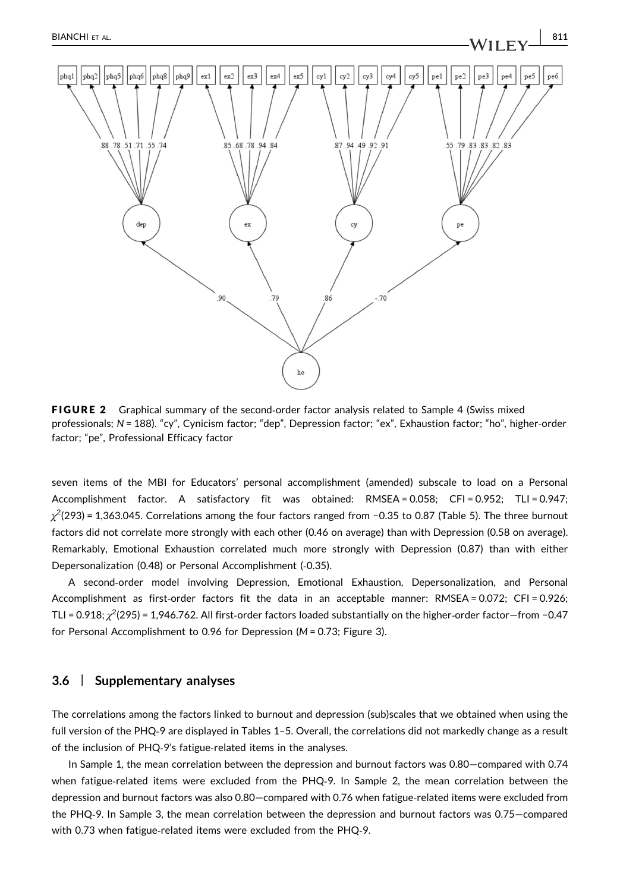

FIGURE 2 Graphical summary of the second-order factor analysis related to Sample 4 (Swiss mixed professionals; N = 188). "cy", Cynicism factor; "dep", Depression factor; "ex", Exhaustion factor; "ho", higher‐order factor; "pe", Professional Efficacy factor

seven items of the MBI for Educators' personal accomplishment (amended) subscale to load on a Personal Accomplishment factor. A satisfactory fit was obtained: RMSEA = 0.058; CFI = 0.952; TLI = 0.947;  $\chi^2$ (293) = 1,363.045. Correlations among the four factors ranged from −0.35 to 0.87 (Table 5). The three burnout factors did not correlate more strongly with each other (0.46 on average) than with Depression (0.58 on average). Remarkably, Emotional Exhaustion correlated much more strongly with Depression (0.87) than with either Depersonalization (0.48) or Personal Accomplishment (‐0.35).

A second‐order model involving Depression, Emotional Exhaustion, Depersonalization, and Personal Accomplishment as first-order factors fit the data in an acceptable manner: RMSEA = 0.072; CFI = 0.926; TLI = 0.918;  $\chi^2$ (295) = 1,946.762. All first-order factors loaded substantially on the higher-order factor—from −0.47 for Personal Accomplishment to 0.96 for Depression (M = 0.73; Figure 3).

# 3.6 | Supplementary analyses

The correlations among the factors linked to burnout and depression (sub)scales that we obtained when using the full version of the PHQ‐9 are displayed in Tables 1–5. Overall, the correlations did not markedly change as a result of the inclusion of PHQ‐9's fatigue‐related items in the analyses.

In Sample 1, the mean correlation between the depression and burnout factors was 0.80—compared with 0.74 when fatigue-related items were excluded from the PHQ-9. In Sample 2, the mean correlation between the depression and burnout factors was also 0.80-compared with 0.76 when fatigue-related items were excluded from the PHQ‐9. In Sample 3, the mean correlation between the depression and burnout factors was 0.75—compared with 0.73 when fatigue-related items were excluded from the PHQ-9.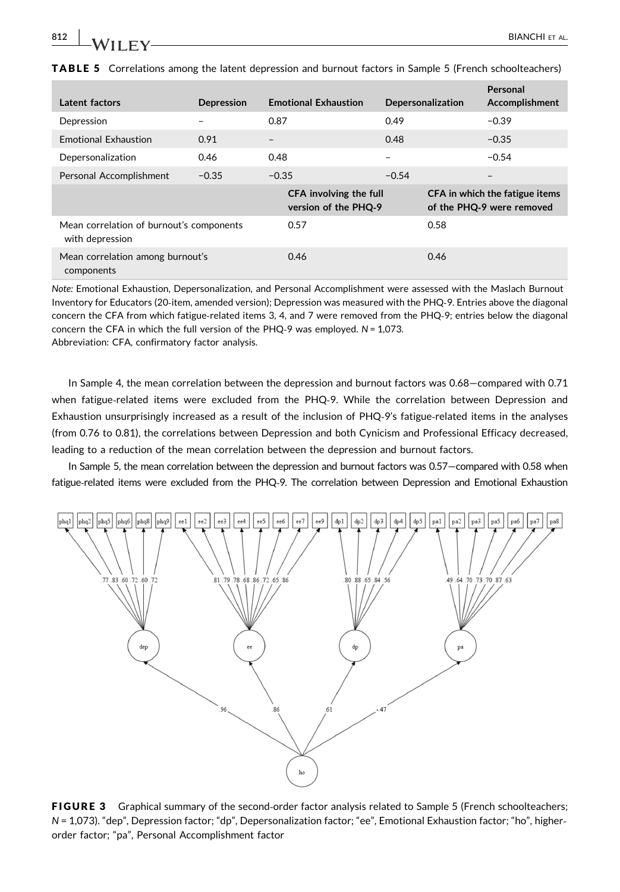| Latent factors                                              | Depression | <b>Emotional Exhaustion</b> |                                                | Depersonalization        |      | Personal<br>Accomplishment                                  |
|-------------------------------------------------------------|------------|-----------------------------|------------------------------------------------|--------------------------|------|-------------------------------------------------------------|
| Depression                                                  |            | 0.87                        |                                                | 0.49                     |      | $-0.39$                                                     |
| <b>Emotional Exhaustion</b>                                 | 0.91       | $\qquad \qquad$             |                                                | 0.48                     |      | $-0.35$                                                     |
| Depersonalization                                           | 0.46       | 0.48                        |                                                | $\overline{\phantom{0}}$ |      | $-0.54$                                                     |
| Personal Accomplishment                                     | $-0.35$    | $-0.35$                     |                                                | $-0.54$                  |      | $\overline{\phantom{0}}$                                    |
|                                                             |            |                             | CFA involving the full<br>version of the PHQ-9 |                          |      | CFA in which the fatigue items<br>of the PHQ-9 were removed |
| Mean correlation of burnout's components<br>with depression |            |                             | 0.57                                           |                          | 0.58 |                                                             |
| Mean correlation among burnout's<br>components              |            |                             | 0.46                                           |                          | 0.46 |                                                             |

TABLE 5 Correlations among the latent depression and burnout factors in Sample 5 (French schoolteachers)

Note: Emotional Exhaustion, Depersonalization, and Personal Accomplishment were assessed with the Maslach Burnout Inventory for Educators (20‐item, amended version); Depression was measured with the PHQ‐9. Entries above the diagonal concern the CFA from which fatigue-related items 3, 4, and 7 were removed from the PHQ-9; entries below the diagonal concern the CFA in which the full version of the PHQ-9 was employed.  $N = 1,073$ . Abbreviation: CFA, confirmatory factor analysis.

In Sample 4, the mean correlation between the depression and burnout factors was 0.68—compared with 0.71 when fatigue-related items were excluded from the PHQ-9. While the correlation between Depression and Exhaustion unsurprisingly increased as a result of the inclusion of PHQ-9's fatigue-related items in the analyses (from 0.76 to 0.81), the correlations between Depression and both Cynicism and Professional Efficacy decreased, leading to a reduction of the mean correlation between the depression and burnout factors.

In Sample 5, the mean correlation between the depression and burnout factors was 0.57—compared with 0.58 when fatigue‐related items were excluded from the PHQ‐9. The correlation between Depression and Emotional Exhaustion



FIGURE 3 Graphical summary of the second-order factor analysis related to Sample 5 (French schoolteachers; N = 1,073). "dep", Depression factor; "dp", Depersonalization factor; "ee", Emotional Exhaustion factor; "ho", higher‐ order factor; "pa", Personal Accomplishment factor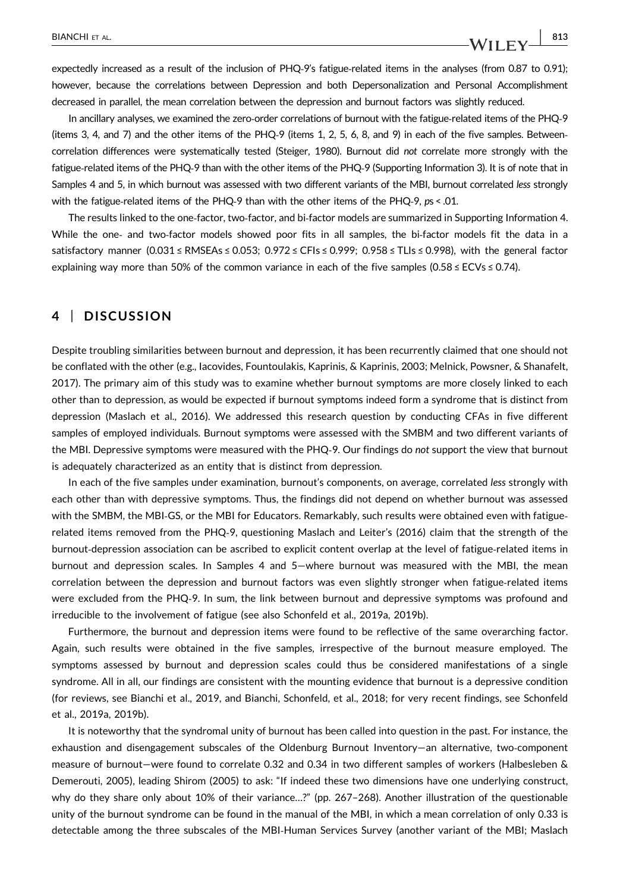expectedly increased as a result of the inclusion of PHQ-9's fatigue-related items in the analyses (from 0.87 to 0.91); however, because the correlations between Depression and both Depersonalization and Personal Accomplishment decreased in parallel, the mean correlation between the depression and burnout factors was slightly reduced.

In ancillary analyses, we examined the zero‐order correlations of burnout with the fatigue‐related items of the PHQ‐9 (items 3, 4, and 7) and the other items of the PHQ‐9 (items 1, 2, 5, 6, 8, and 9) in each of the five samples. Between‐ correlation differences were systematically tested (Steiger, 1980). Burnout did not correlate more strongly with the fatigue‐related items of the PHQ‐9 than with the other items of the PHQ‐9 (Supporting Information 3). It is of note that in Samples 4 and 5, in which burnout was assessed with two different variants of the MBI, burnout correlated less strongly with the fatigue-related items of the PHQ-9 than with the other items of the PHQ-9, ps < .01.

The results linked to the one-factor, two-factor, and bi-factor models are summarized in Supporting Information 4. While the one- and two-factor models showed poor fits in all samples, the bi-factor models fit the data in a satisfactory manner (0.031 ≤ RMSEAs ≤ 0.053; 0.972 ≤ CFIs ≤ 0.999; 0.958 ≤ TLIs ≤ 0.998), with the general factor explaining way more than 50% of the common variance in each of the five samples (0.58 ≤ ECVs ≤ 0.74).

# 4 | DISCUSSION

Despite troubling similarities between burnout and depression, it has been recurrently claimed that one should not be conflated with the other (e.g., Iacovides, Fountoulakis, Kaprinis, & Kaprinis, 2003; Melnick, Powsner, & Shanafelt, 2017). The primary aim of this study was to examine whether burnout symptoms are more closely linked to each other than to depression, as would be expected if burnout symptoms indeed form a syndrome that is distinct from depression (Maslach et al., 2016). We addressed this research question by conducting CFAs in five different samples of employed individuals. Burnout symptoms were assessed with the SMBM and two different variants of the MBI. Depressive symptoms were measured with the PHQ‐9. Our findings do not support the view that burnout is adequately characterized as an entity that is distinct from depression.

In each of the five samples under examination, burnout's components, on average, correlated less strongly with each other than with depressive symptoms. Thus, the findings did not depend on whether burnout was assessed with the SMBM, the MBI-GS, or the MBI for Educators. Remarkably, such results were obtained even with fatiguerelated items removed from the PHQ‐9, questioning Maslach and Leiter's (2016) claim that the strength of the burnout-depression association can be ascribed to explicit content overlap at the level of fatigue-related items in burnout and depression scales. In Samples 4 and 5—where burnout was measured with the MBI, the mean correlation between the depression and burnout factors was even slightly stronger when fatigue-related items were excluded from the PHQ‐9. In sum, the link between burnout and depressive symptoms was profound and irreducible to the involvement of fatigue (see also Schonfeld et al., 2019a, 2019b).

Furthermore, the burnout and depression items were found to be reflective of the same overarching factor. Again, such results were obtained in the five samples, irrespective of the burnout measure employed. The symptoms assessed by burnout and depression scales could thus be considered manifestations of a single syndrome. All in all, our findings are consistent with the mounting evidence that burnout is a depressive condition (for reviews, see Bianchi et al., 2019, and Bianchi, Schonfeld, et al., 2018; for very recent findings, see Schonfeld et al., 2019a, 2019b).

It is noteworthy that the syndromal unity of burnout has been called into question in the past. For instance, the exhaustion and disengagement subscales of the Oldenburg Burnout Inventory—an alternative, two‐component measure of burnout—were found to correlate 0.32 and 0.34 in two different samples of workers (Halbesleben & Demerouti, 2005), leading Shirom (2005) to ask: "If indeed these two dimensions have one underlying construct, why do they share only about 10% of their variance…?" (pp. 267–268). Another illustration of the questionable unity of the burnout syndrome can be found in the manual of the MBI, in which a mean correlation of only 0.33 is detectable among the three subscales of the MBI‐Human Services Survey (another variant of the MBI; Maslach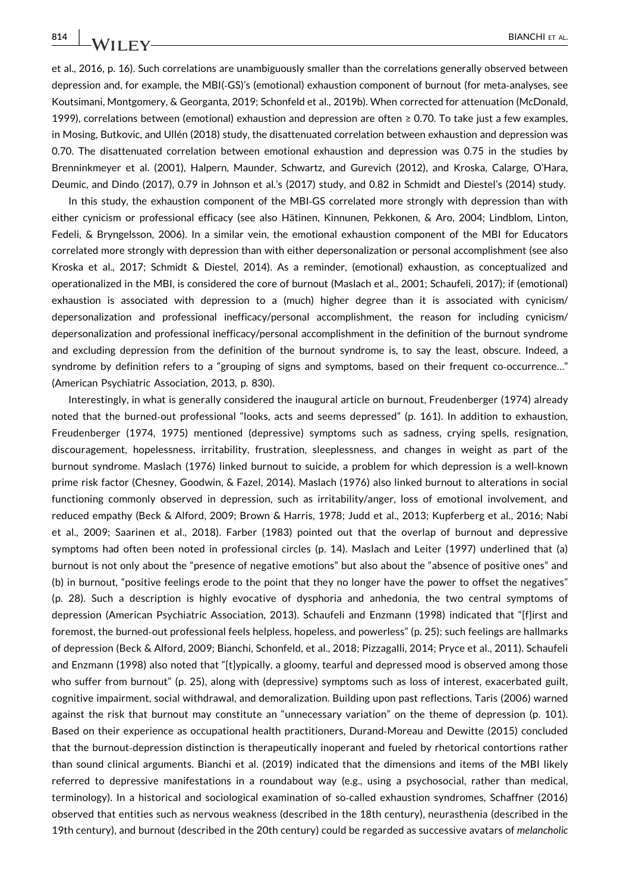et al., 2016, p. 16). Such correlations are unambiguously smaller than the correlations generally observed between depression and, for example, the MBI(‐GS)'s (emotional) exhaustion component of burnout (for meta‐analyses, see Koutsimani, Montgomery, & Georganta, 2019; Schonfeld et al., 2019b). When corrected for attenuation (McDonald, 1999), correlations between (emotional) exhaustion and depression are often ≥ 0.70. To take just a few examples, in Mosing, Butkovic, and Ullén (2018) study, the disattenuated correlation between exhaustion and depression was 0.70. The disattenuated correlation between emotional exhaustion and depression was 0.75 in the studies by Brenninkmeyer et al. (2001), Halpern, Maunder, Schwartz, and Gurevich (2012), and Kroska, Calarge, O'Hara, Deumic, and Dindo (2017), 0.79 in Johnson et al.'s (2017) study, and 0.82 in Schmidt and Diestel's (2014) study.

In this study, the exhaustion component of the MBI‐GS correlated more strongly with depression than with either cynicism or professional efficacy (see also Hätinen, Kinnunen, Pekkonen, & Aro, 2004; Lindblom, Linton, Fedeli, & Bryngelsson, 2006). In a similar vein, the emotional exhaustion component of the MBI for Educators correlated more strongly with depression than with either depersonalization or personal accomplishment (see also Kroska et al., 2017; Schmidt & Diestel, 2014). As a reminder, (emotional) exhaustion, as conceptualized and operationalized in the MBI, is considered the core of burnout (Maslach et al., 2001; Schaufeli, 2017); if (emotional) exhaustion is associated with depression to a (much) higher degree than it is associated with cynicism/ depersonalization and professional inefficacy/personal accomplishment, the reason for including cynicism/ depersonalization and professional inefficacy/personal accomplishment in the definition of the burnout syndrome and excluding depression from the definition of the burnout syndrome is, to say the least, obscure. Indeed, a syndrome by definition refers to a "grouping of signs and symptoms, based on their frequent co-occurrence..." (American Psychiatric Association, 2013, p. 830).

Interestingly, in what is generally considered the inaugural article on burnout, Freudenberger (1974) already noted that the burned‐out professional "looks, acts and seems depressed" (p. 161). In addition to exhaustion, Freudenberger (1974, 1975) mentioned (depressive) symptoms such as sadness, crying spells, resignation, discouragement, hopelessness, irritability, frustration, sleeplessness, and changes in weight as part of the burnout syndrome. Maslach (1976) linked burnout to suicide, a problem for which depression is a well‐known prime risk factor (Chesney, Goodwin, & Fazel, 2014). Maslach (1976) also linked burnout to alterations in social functioning commonly observed in depression, such as irritability/anger, loss of emotional involvement, and reduced empathy (Beck & Alford, 2009; Brown & Harris, 1978; Judd et al., 2013; Kupferberg et al., 2016; Nabi et al., 2009; Saarinen et al., 2018). Farber (1983) pointed out that the overlap of burnout and depressive symptoms had often been noted in professional circles (p. 14). Maslach and Leiter (1997) underlined that (a) burnout is not only about the "presence of negative emotions" but also about the "absence of positive ones" and (b) in burnout, "positive feelings erode to the point that they no longer have the power to offset the negatives" (p. 28). Such a description is highly evocative of dysphoria and anhedonia, the two central symptoms of depression (American Psychiatric Association, 2013). Schaufeli and Enzmann (1998) indicated that "[f]irst and foremost, the burned‐out professional feels helpless, hopeless, and powerless" (p. 25); such feelings are hallmarks of depression (Beck & Alford, 2009; Bianchi, Schonfeld, et al., 2018; Pizzagalli, 2014; Pryce et al., 2011). Schaufeli and Enzmann (1998) also noted that "[t]ypically, a gloomy, tearful and depressed mood is observed among those who suffer from burnout" (p. 25), along with (depressive) symptoms such as loss of interest, exacerbated guilt, cognitive impairment, social withdrawal, and demoralization. Building upon past reflections, Taris (2006) warned against the risk that burnout may constitute an "unnecessary variation" on the theme of depression (p. 101). Based on their experience as occupational health practitioners, Durand‐Moreau and Dewitte (2015) concluded that the burnout‐depression distinction is therapeutically inoperant and fueled by rhetorical contortions rather than sound clinical arguments. Bianchi et al. (2019) indicated that the dimensions and items of the MBI likely referred to depressive manifestations in a roundabout way (e.g., using a psychosocial, rather than medical, terminology). In a historical and sociological examination of so‐called exhaustion syndromes, Schaffner (2016) observed that entities such as nervous weakness (described in the 18th century), neurasthenia (described in the 19th century), and burnout (described in the 20th century) could be regarded as successive avatars of melancholic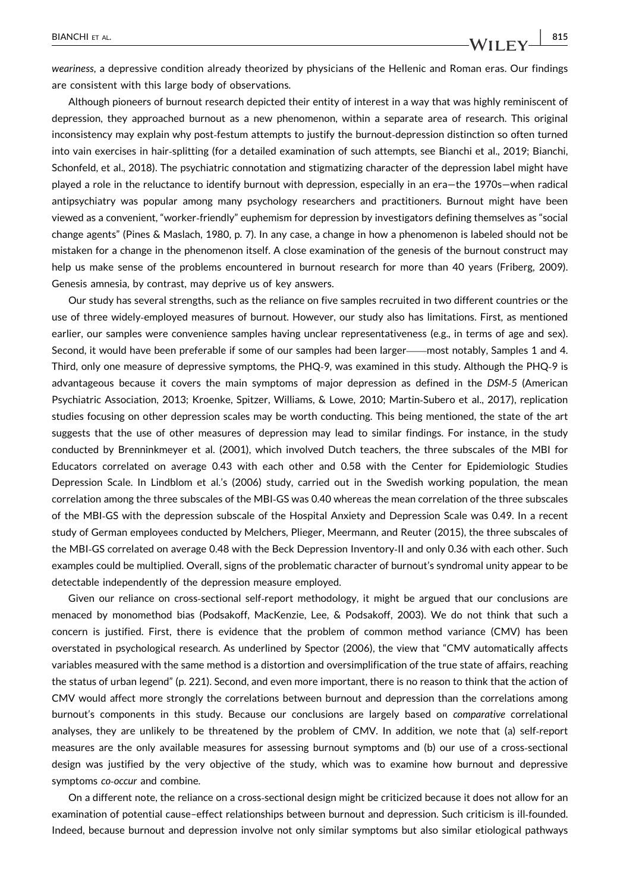weariness, a depressive condition already theorized by physicians of the Hellenic and Roman eras. Our findings are consistent with this large body of observations.

Although pioneers of burnout research depicted their entity of interest in a way that was highly reminiscent of depression, they approached burnout as a new phenomenon, within a separate area of research. This original inconsistency may explain why post‐festum attempts to justify the burnout‐depression distinction so often turned into vain exercises in hair‐splitting (for a detailed examination of such attempts, see Bianchi et al., 2019; Bianchi, Schonfeld, et al., 2018). The psychiatric connotation and stigmatizing character of the depression label might have played a role in the reluctance to identify burnout with depression, especially in an era—the 1970s—when radical antipsychiatry was popular among many psychology researchers and practitioners. Burnout might have been viewed as a convenient, "worker‐friendly" euphemism for depression by investigators defining themselves as "social change agents" (Pines & Maslach, 1980, p. 7). In any case, a change in how a phenomenon is labeled should not be mistaken for a change in the phenomenon itself. A close examination of the genesis of the burnout construct may help us make sense of the problems encountered in burnout research for more than 40 years (Friberg, 2009). Genesis amnesia, by contrast, may deprive us of key answers.

Our study has several strengths, such as the reliance on five samples recruited in two different countries or the use of three widely‐employed measures of burnout. However, our study also has limitations. First, as mentioned earlier, our samples were convenience samples having unclear representativeness (e.g., in terms of age and sex). Second, it would have been preferable if some of our samples had been larger—most notably, Samples 1 and 4. Third, only one measure of depressive symptoms, the PHQ‐9, was examined in this study. Although the PHQ‐9 is advantageous because it covers the main symptoms of major depression as defined in the DSM‐5 (American Psychiatric Association, 2013; Kroenke, Spitzer, Williams, & Lowe, 2010; Martin‐Subero et al., 2017), replication studies focusing on other depression scales may be worth conducting. This being mentioned, the state of the art suggests that the use of other measures of depression may lead to similar findings. For instance, in the study conducted by Brenninkmeyer et al. (2001), which involved Dutch teachers, the three subscales of the MBI for Educators correlated on average 0.43 with each other and 0.58 with the Center for Epidemiologic Studies Depression Scale. In Lindblom et al.'s (2006) study, carried out in the Swedish working population, the mean correlation among the three subscales of the MBI‐GS was 0.40 whereas the mean correlation of the three subscales of the MBI‐GS with the depression subscale of the Hospital Anxiety and Depression Scale was 0.49. In a recent study of German employees conducted by Melchers, Plieger, Meermann, and Reuter (2015), the three subscales of the MBI‐GS correlated on average 0.48 with the Beck Depression Inventory‐II and only 0.36 with each other. Such examples could be multiplied. Overall, signs of the problematic character of burnout's syndromal unity appear to be detectable independently of the depression measure employed.

Given our reliance on cross-sectional self-report methodology, it might be argued that our conclusions are menaced by monomethod bias (Podsakoff, MacKenzie, Lee, & Podsakoff, 2003). We do not think that such a concern is justified. First, there is evidence that the problem of common method variance (CMV) has been overstated in psychological research. As underlined by Spector (2006), the view that "CMV automatically affects variables measured with the same method is a distortion and oversimplification of the true state of affairs, reaching the status of urban legend" (p. 221). Second, and even more important, there is no reason to think that the action of CMV would affect more strongly the correlations between burnout and depression than the correlations among burnout's components in this study. Because our conclusions are largely based on comparative correlational analyses, they are unlikely to be threatened by the problem of CMV. In addition, we note that (a) self‐report measures are the only available measures for assessing burnout symptoms and (b) our use of a cross-sectional design was justified by the very objective of the study, which was to examine how burnout and depressive symptoms co-occur and combine.

On a different note, the reliance on a cross-sectional design might be criticized because it does not allow for an examination of potential cause–effect relationships between burnout and depression. Such criticism is ill‐founded. Indeed, because burnout and depression involve not only similar symptoms but also similar etiological pathways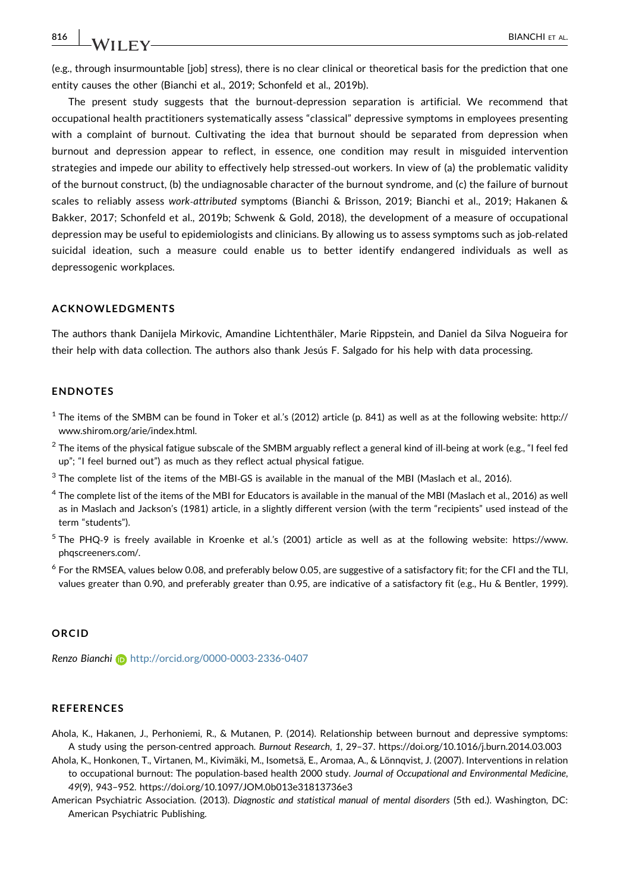816 | **IA**/II EX/

(e.g., through insurmountable [job] stress), there is no clear clinical or theoretical basis for the prediction that one entity causes the other (Bianchi et al., 2019; Schonfeld et al., 2019b).

The present study suggests that the burnout‐depression separation is artificial. We recommend that occupational health practitioners systematically assess "classical" depressive symptoms in employees presenting with a complaint of burnout. Cultivating the idea that burnout should be separated from depression when burnout and depression appear to reflect, in essence, one condition may result in misguided intervention strategies and impede our ability to effectively help stressed‐out workers. In view of (a) the problematic validity of the burnout construct, (b) the undiagnosable character of the burnout syndrome, and (c) the failure of burnout scales to reliably assess work‐attributed symptoms (Bianchi & Brisson, 2019; Bianchi et al., 2019; Hakanen & Bakker, 2017; Schonfeld et al., 2019b; Schwenk & Gold, 2018), the development of a measure of occupational depression may be useful to epidemiologists and clinicians. By allowing us to assess symptoms such as job-related suicidal ideation, such a measure could enable us to better identify endangered individuals as well as depressogenic workplaces.

#### ACKNOWLEDGMENTS

The authors thank Danijela Mirkovic, Amandine Lichtenthäler, Marie Rippstein, and Daniel da Silva Nogueira for their help with data collection. The authors also thank Jesús F. Salgado for his help with data processing.

#### ENDNOTES

- $1$  The items of the SMBM can be found in Toker et al.'s (2012) article (p. 841) as well as at the following website: [http://](http://www.shirom.org/arie/index.html) [www.shirom.org/arie/index.html](http://www.shirom.org/arie/index.html).
- $^2$  The items of the physical fatigue subscale of the SMBM arguably reflect a general kind of ill-being at work (e.g., "I feel fed up"; "I feel burned out") as much as they reflect actual physical fatigue.
- $3$  The complete list of the items of the MBI-GS is available in the manual of the MBI (Maslach et al., 2016).
- <sup>4</sup> The complete list of the items of the MBI for Educators is available in the manual of the MBI (Maslach et al., 2016) as well as in Maslach and Jackson's (1981) article, in a slightly different version (with the term "recipients" used instead of the term "students").
- <sup>5</sup> The PHQ‐9 is freely available in Kroenke et al.'s (2001) article as well as at the following website: [https://www.](https://www.phqscreeners.com/) [phqscreeners.com/](https://www.phqscreeners.com/).
- $6$  For the RMSEA, values below 0.08, and preferably below 0.05, are suggestive of a satisfactory fit; for the CFI and the TLI, values greater than 0.90, and preferably greater than 0.95, are indicative of a satisfactory fit (e.g., Hu & Bentler, 1999).

#### ORCID

Renzo Bianchi b <http://orcid.org/0000-0003-2336-0407>

## **REFERENCES**

- Ahola, K., Hakanen, J., Perhoniemi, R., & Mutanen, P. (2014). Relationship between burnout and depressive symptoms: A study using the person‐centred approach. Burnout Research, 1, 29–37.<https://doi.org/10.1016/j.burn.2014.03.003>
- Ahola, K., Honkonen, T., Virtanen, M., Kivimäki, M., Isometsä, E., Aromaa, A., & Lönnqvist, J. (2007). Interventions in relation to occupational burnout: The population-based health 2000 study. Journal of Occupational and Environmental Medicine, 49(9), 943–952.<https://doi.org/10.1097/JOM.0b013e31813736e3>
- American Psychiatric Association. (2013). Diagnostic and statistical manual of mental disorders (5th ed.). Washington, DC: American Psychiatric Publishing.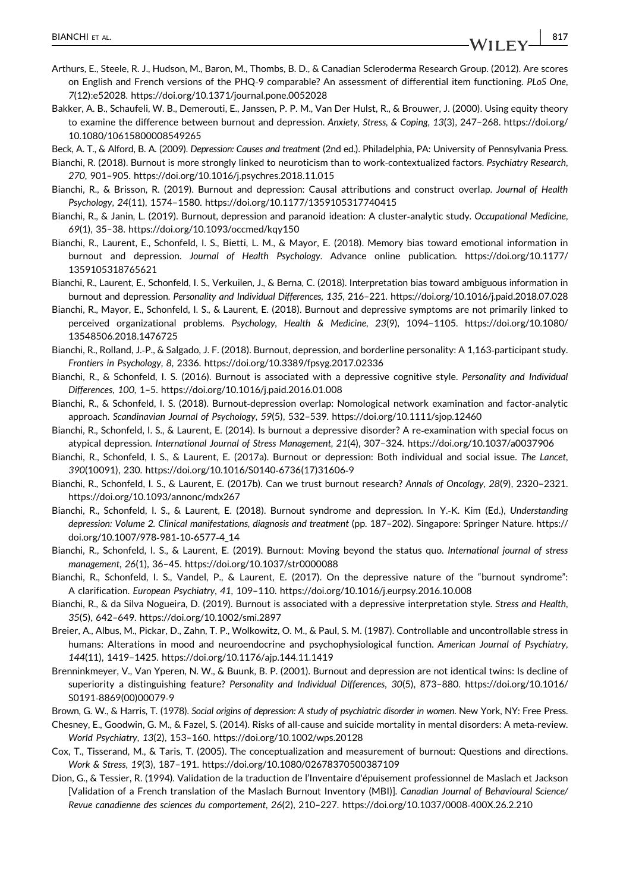- Arthurs, E., Steele, R. J., Hudson, M., Baron, M., Thombs, B. D., & Canadian Scleroderma Research Group. (2012). Are scores on English and French versions of the PHQ‐9 comparable? An assessment of differential item functioning. PLoS One, 7(12):e52028.<https://doi.org/10.1371/journal.pone.0052028>
- Bakker, A. B., Schaufeli, W. B., Demerouti, E., Janssen, P. P. M., Van Der Hulst, R., & Brouwer, J. (2000). Using equity theory to examine the difference between burnout and depression. Anxiety, Stress, & Coping, 13(3), 247–268. [https://doi.org/](https://doi.org/10.1080/10615800008549265) [10.1080/10615800008549265](https://doi.org/10.1080/10615800008549265)
- Beck, A. T., & Alford, B. A. (2009). Depression: Causes and treatment (2nd ed.). Philadelphia, PA: University of Pennsylvania Press.
- Bianchi, R. (2018). Burnout is more strongly linked to neuroticism than to work‐contextualized factors. Psychiatry Research, 270, 901–905.<https://doi.org/10.1016/j.psychres.2018.11.015>
- Bianchi, R., & Brisson, R. (2019). Burnout and depression: Causal attributions and construct overlap. Journal of Health Psychology, 24(11), 1574–1580.<https://doi.org/10.1177/1359105317740415>
- Bianchi, R., & Janin, L. (2019). Burnout, depression and paranoid ideation: A cluster‐analytic study. Occupational Medicine, 69(1), 35–38.<https://doi.org/10.1093/occmed/kqy150>
- Bianchi, R., Laurent, E., Schonfeld, I. S., Bietti, L. M., & Mayor, E. (2018). Memory bias toward emotional information in burnout and depression. Journal of Health Psychology. Advance online publication. https://doi.org/10.1177/ 1359105318765621
- Bianchi, R., Laurent, E., Schonfeld, I. S., Verkuilen, J., & Berna, C. (2018). Interpretation bias toward ambiguous information in burnout and depression. Personality and Individual Differences, 135, 216–221.<https://doi.org/10.1016/j.paid.2018.07.028>
- Bianchi, R., Mayor, E., Schonfeld, I. S., & Laurent, E. (2018). Burnout and depressive symptoms are not primarily linked to perceived organizational problems. Psychology, Health & Medicine, 23(9), 1094–1105. [https://doi.org/10.1080/](https://doi.org/10.1080/13548506.2018.1476725) [13548506.2018.1476725](https://doi.org/10.1080/13548506.2018.1476725)
- Bianchi, R., Rolland, J.‐P., & Salgado, J. F. (2018). Burnout, depression, and borderline personality: A 1,163‐participant study. Frontiers in Psychology, 8, 2336.<https://doi.org/10.3389/fpsyg.2017.02336>
- Bianchi, R., & Schonfeld, I. S. (2016). Burnout is associated with a depressive cognitive style. Personality and Individual Differences, 100, 1–5.<https://doi.org/10.1016/j.paid.2016.01.008>
- Bianchi, R., & Schonfeld, I. S. (2018). Burnout‐depression overlap: Nomological network examination and factor‐analytic approach. Scandinavian Journal of Psychology, 59(5), 532–539.<https://doi.org/10.1111/sjop.12460>
- Bianchi, R., Schonfeld, I. S., & Laurent, E. (2014). Is burnout a depressive disorder? A re‐examination with special focus on atypical depression. International Journal of Stress Management, 21(4), 307–324.<https://doi.org/10.1037/a0037906>
- Bianchi, R., Schonfeld, I. S., & Laurent, E. (2017a). Burnout or depression: Both individual and social issue. The Lancet, 390(10091), 230. [https://doi.org/10.1016/S0140](https://doi.org/10.1016/S0140-6736(17)31606-9)‐6736(17)31606‐9
- Bianchi, R., Schonfeld, I. S., & Laurent, E. (2017b). Can we trust burnout research? Annals of Oncology, 28(9), 2320–2321. <https://doi.org/10.1093/annonc/mdx267>
- Bianchi, R., Schonfeld, I. S., & Laurent, E. (2018). Burnout syndrome and depression. In Y.‐K. Kim (Ed.), Understanding depression: Volume 2. Clinical manifestations, diagnosis and treatment (pp. 187–202). Singapore: Springer Nature. [https://](https://doi.org/10.1007/978-981-10-6577-4_14) [doi.org/10.1007/978](https://doi.org/10.1007/978-981-10-6577-4_14)‐981‐10‐6577‐4\_14
- Bianchi, R., Schonfeld, I. S., & Laurent, E. (2019). Burnout: Moving beyond the status quo. International journal of stress management, 26(1), 36–45.<https://doi.org/10.1037/str0000088>
- Bianchi, R., Schonfeld, I. S., Vandel, P., & Laurent, E. (2017). On the depressive nature of the "burnout syndrome": A clarification. European Psychiatry, 41, 109–110.<https://doi.org/10.1016/j.eurpsy.2016.10.008>
- Bianchi, R., & da Silva Nogueira, D. (2019). Burnout is associated with a depressive interpretation style. Stress and Health, 35(5), 642–649.<https://doi.org/10.1002/smi.2897>
- Breier, A., Albus, M., Pickar, D., Zahn, T. P., Wolkowitz, O. M., & Paul, S. M. (1987). Controllable and uncontrollable stress in humans: Alterations in mood and neuroendocrine and psychophysiological function. American Journal of Psychiatry, 144(11), 1419–1425.<https://doi.org/10.1176/ajp.144.11.1419>
- Brenninkmeyer, V., Van Yperen, N. W., & Buunk, B. P. (2001). Burnout and depression are not identical twins: Is decline of superiority a distinguishing feature? Personality and Individual Differences, 30(5), 873–880. [https://doi.org/10.1016/](https://doi.org/10.1016/S0191-8869(00)00079-9) S0191‐[8869\(00\)00079](https://doi.org/10.1016/S0191-8869(00)00079-9)‐9
- Brown, G. W., & Harris, T. (1978). Social origins of depression: A study of psychiatric disorder in women. New York, NY: Free Press.
- Chesney, E., Goodwin, G. M., & Fazel, S. (2014). Risks of all‐cause and suicide mortality in mental disorders: A meta‐review. World Psychiatry, 13(2), 153–160.<https://doi.org/10.1002/wps.20128>
- Cox, T., Tisserand, M., & Taris, T. (2005). The conceptualization and measurement of burnout: Questions and directions. Work & Stress, 19(3), 187–191.<https://doi.org/10.1080/02678370500387109>
- Dion, G., & Tessier, R. (1994). Validation de la traduction de l'Inventaire d'épuisement professionnel de Maslach et Jackson [Validation of a French translation of the Maslach Burnout Inventory (MBI)]. Canadian Journal of Behavioural Science/ Revue canadienne des sciences du comportement, 26(2), 210–227. [https://doi.org/10.1037/0008](https://doi.org/10.1037/0008-400X.26.2.210)‐400X.26.2.210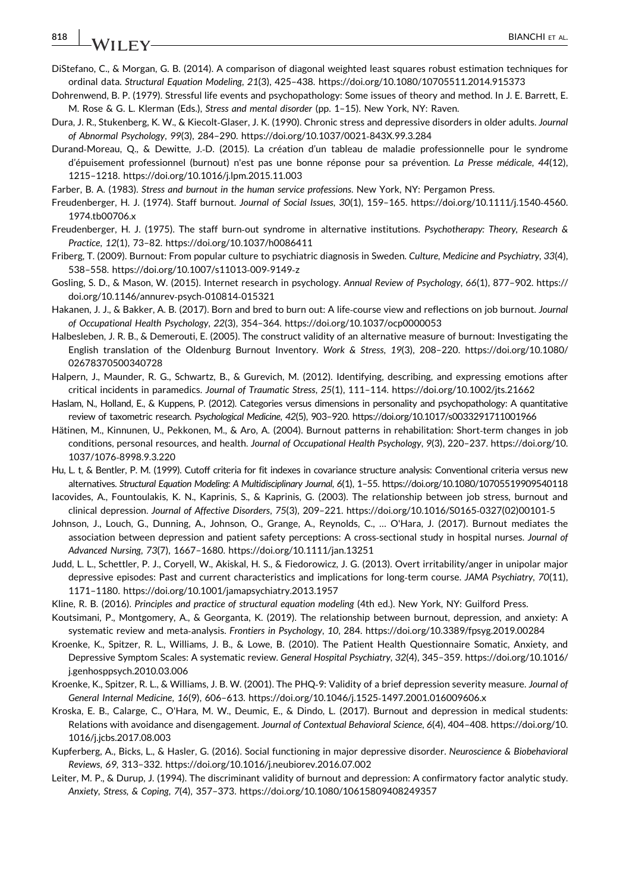# 818 | **IA**/II EX/

- DiStefano, C., & Morgan, G. B. (2014). A comparison of diagonal weighted least squares robust estimation techniques for ordinal data. Structural Equation Modeling, 21(3), 425–438.<https://doi.org/10.1080/10705511.2014.915373>
- Dohrenwend, B. P. (1979). Stressful life events and psychopathology: Some issues of theory and method. In J. E. Barrett, E. M. Rose & G. L. Klerman (Eds.), Stress and mental disorder (pp. 1–15). New York, NY: Raven.
- Dura, J. R., Stukenberg, K. W., & Kiecolt‐Glaser, J. K. (1990). Chronic stress and depressive disorders in older adults. Journal of Abnormal Psychology, 99(3), 284–290. [https://doi.org/10.1037/0021](https://doi.org/10.1037/0021-843X.99.3.284)‐843X.99.3.284
- Durand‐Moreau, Q., & Dewitte, J.‐D. (2015). La création d'un tableau de maladie professionnelle pour le syndrome d'épuisement professionnel (burnout) n'est pas une bonne réponse pour sa prévention. La Presse médicale, 44(12), 1215–1218.<https://doi.org/10.1016/j.lpm.2015.11.003>
- Farber, B. A. (1983). Stress and burnout in the human service professions. New York, NY: Pergamon Press.
- Freudenberger, H. J. (1974). Staff burnout. Journal of Social Issues, 30(1), 159–165. [https://doi.org/10.1111/j.1540](https://doi.org/10.1111/j.1540-4560.1974.tb00706.x)‐4560. [1974.tb00706.x](https://doi.org/10.1111/j.1540-4560.1974.tb00706.x)
- Freudenberger, H. J. (1975). The staff burn-out syndrome in alternative institutions. Psychotherapy: Theory, Research & Practice, 12(1), 73–82.<https://doi.org/10.1037/h0086411>
- Friberg, T. (2009). Burnout: From popular culture to psychiatric diagnosis in Sweden. Culture, Medicine and Psychiatry, 33(4), 538–558. [https://doi.org/10.1007/s11013](https://doi.org/10.1007/s11013-009-9149-z)‐009‐9149‐z
- Gosling, S. D., & Mason, W. (2015). Internet research in psychology. Annual Review of Psychology, 66(1), 877–902. [https://](https://doi.org/10.1146/annurev-psych-010814-015321) [doi.org/10.1146/annurev](https://doi.org/10.1146/annurev-psych-010814-015321)‐psych‐010814‐015321
- Hakanen, J. J., & Bakker, A. B. (2017). Born and bred to burn out: A life-course view and reflections on job burnout. Journal of Occupational Health Psychology, 22(3), 354–364.<https://doi.org/10.1037/ocp0000053>
- Halbesleben, J. R. B., & Demerouti, E. (2005). The construct validity of an alternative measure of burnout: Investigating the English translation of the Oldenburg Burnout Inventory. Work & Stress, 19(3), 208–220. [https://doi.org/10.1080/](https://doi.org/10.1080/02678370500340728) [02678370500340728](https://doi.org/10.1080/02678370500340728)
- Halpern, J., Maunder, R. G., Schwartz, B., & Gurevich, M. (2012). Identifying, describing, and expressing emotions after critical incidents in paramedics. Journal of Traumatic Stress, 25(1), 111–114.<https://doi.org/10.1002/jts.21662>
- Haslam, N., Holland, E., & Kuppens, P. (2012). Categories versus dimensions in personality and psychopathology: A quantitative review of taxometric research. Psychological Medicine, 42(5), 903–920.<https://doi.org/10.1017/s0033291711001966>
- Hätinen, M., Kinnunen, U., Pekkonen, M., & Aro, A. (2004). Burnout patterns in rehabilitation: Short‐term changes in job conditions, personal resources, and health. Journal of Occupational Health Psychology, 9(3), 220–237. [https://doi.org/10.](https://doi.org/10.1037/1076-8998.9.3.220) 1037/1076‐[8998.9.3.220](https://doi.org/10.1037/1076-8998.9.3.220)
- Hu, L. t, & Bentler, P. M. (1999). Cutoff criteria for fit indexes in covariance structure analysis: Conventional criteria versus new alternatives. Structural Equation Modeling: A Multidisciplinary Journal, 6(1), 1–55.<https://doi.org/10.1080/10705519909540118>
- Iacovides, A., Fountoulakis, K. N., Kaprinis, S., & Kaprinis, G. (2003). The relationship between job stress, burnout and clinical depression. Journal of Affective Disorders, 75(3), 209–221. [https://doi.org/10.1016/S0165](https://doi.org/10.1016/S0165-0327(02)00101-5)‐0327(02)00101‐5
- Johnson, J., Louch, G., Dunning, A., Johnson, O., Grange, A., Reynolds, C., … O'Hara, J. (2017). Burnout mediates the association between depression and patient safety perceptions: A cross-sectional study in hospital nurses. Journal of Advanced Nursing, 73(7), 1667–1680.<https://doi.org/10.1111/jan.13251>
- Judd, L. L., Schettler, P. J., Coryell, W., Akiskal, H. S., & Fiedorowicz, J. G. (2013). Overt irritability/anger in unipolar major depressive episodes: Past and current characteristics and implications for long-term course. JAMA Psychiatry, 70(11), 1171–1180.<https://doi.org/10.1001/jamapsychiatry.2013.1957>
- Kline, R. B. (2016). Principles and practice of structural equation modeling (4th ed.). New York, NY: Guilford Press.
- Koutsimani, P., Montgomery, A., & Georganta, K. (2019). The relationship between burnout, depression, and anxiety: A systematic review and meta‐analysis. Frontiers in Psychology, 10, 284.<https://doi.org/10.3389/fpsyg.2019.00284>
- Kroenke, K., Spitzer, R. L., Williams, J. B., & Lowe, B. (2010). The Patient Health Questionnaire Somatic, Anxiety, and Depressive Symptom Scales: A systematic review. General Hospital Psychiatry, 32(4), 345–359. [https://doi.org/10.1016/](https://doi.org/10.1016/j.genhosppsych.2010.03.006) [j.genhosppsych.2010.03.006](https://doi.org/10.1016/j.genhosppsych.2010.03.006)
- Kroenke, K., Spitzer, R. L., & Williams, J. B. W. (2001). The PHQ‐9: Validity of a brief depression severity measure. Journal of General Internal Medicine, 16(9), 606–613. [https://doi.org/10.1046/j.1525](https://doi.org/10.1046/j.1525-1497.2001.016009606.x)‐1497.2001.016009606.x
- Kroska, E. B., Calarge, C., O'Hara, M. W., Deumic, E., & Dindo, L. (2017). Burnout and depression in medical students: Relations with avoidance and disengagement. Journal of Contextual Behavioral Science, 6(4), 404–408. [https://doi.org/10.](https://doi.org/10.1016/j.jcbs.2017.08.003) [1016/j.jcbs.2017.08.003](https://doi.org/10.1016/j.jcbs.2017.08.003)
- Kupferberg, A., Bicks, L., & Hasler, G. (2016). Social functioning in major depressive disorder. Neuroscience & Biobehavioral Reviews, 69, 313–332.<https://doi.org/10.1016/j.neubiorev.2016.07.002>
- Leiter, M. P., & Durup, J. (1994). The discriminant validity of burnout and depression: A confirmatory factor analytic study. Anxiety, Stress, & Coping, 7(4), 357–373.<https://doi.org/10.1080/10615809408249357>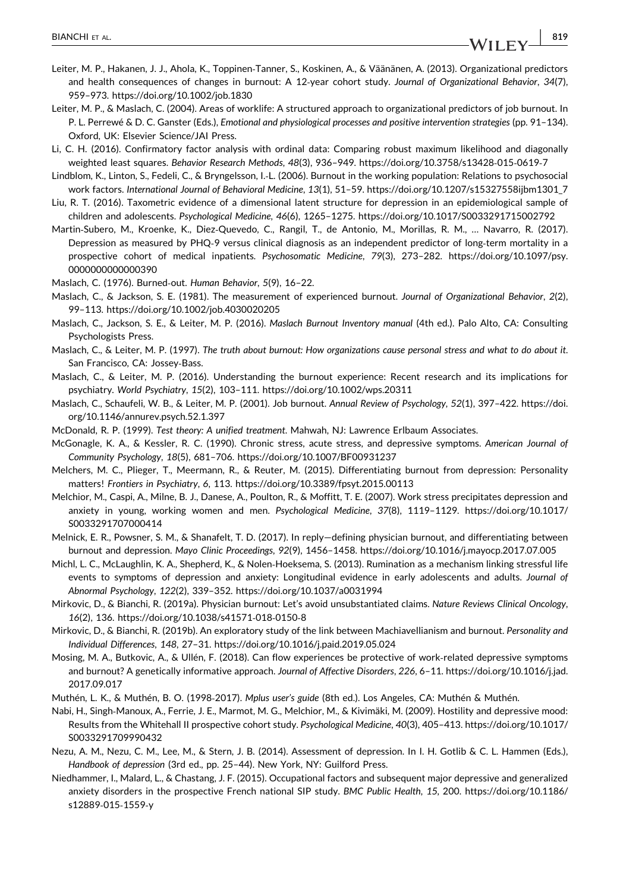- Leiter, M. P., & Maslach, C. (2004). Areas of worklife: A structured approach to organizational predictors of job burnout. In P. L. Perrewé & D. C. Ganster (Eds.), Emotional and physiological processes and positive intervention strategies (pp. 91–134). Oxford, UK: Elsevier Science/JAI Press.
- Li, C. H. (2016). Confirmatory factor analysis with ordinal data: Comparing robust maximum likelihood and diagonally weighted least squares. Behavior Research Methods, 48(3), 936–949. [https://doi.org/10.3758/s13428](https://doi.org/10.3758/s13428-015-0619-7)‐015‐0619‐7
- Lindblom, K., Linton, S., Fedeli, C., & Bryngelsson, I.‐L. (2006). Burnout in the working population: Relations to psychosocial work factors. International Journal of Behavioral Medicine, 13(1), 51–59. [https://doi.org/10.1207/s15327558ijbm1301\\_7](https://doi.org/10.1207/s15327558ijbm1301_7)
- Liu, R. T. (2016). Taxometric evidence of a dimensional latent structure for depression in an epidemiological sample of children and adolescents. Psychological Medicine, 46(6), 1265–1275.<https://doi.org/10.1017/S0033291715002792>
- Martin‐Subero, M., Kroenke, K., Diez‐Quevedo, C., Rangil, T., de Antonio, M., Morillas, R. M., … Navarro, R. (2017). Depression as measured by PHQ‐9 versus clinical diagnosis as an independent predictor of long‐term mortality in a prospective cohort of medical inpatients. Psychosomatic Medicine, 79(3), 273–282. [https://doi.org/10.1097/psy.](https://doi.org/10.1097/psy.0000000000000390) [0000000000000390](https://doi.org/10.1097/psy.0000000000000390)
- Maslach, C. (1976). Burned‐out. Human Behavior, 5(9), 16–22.
- Maslach, C., & Jackson, S. E. (1981). The measurement of experienced burnout. Journal of Organizational Behavior, 2(2), 99–113.<https://doi.org/10.1002/job.4030020205>
- Maslach, C., Jackson, S. E., & Leiter, M. P. (2016). Maslach Burnout Inventory manual (4th ed.). Palo Alto, CA: Consulting Psychologists Press.
- Maslach, C., & Leiter, M. P. (1997). The truth about burnout: How organizations cause personal stress and what to do about it. San Francisco, CA: Jossey‐Bass.
- Maslach, C., & Leiter, M. P. (2016). Understanding the burnout experience: Recent research and its implications for psychiatry. World Psychiatry, 15(2), 103–111.<https://doi.org/10.1002/wps.20311>
- Maslach, C., Schaufeli, W. B., & Leiter, M. P. (2001). Job burnout. Annual Review of Psychology, 52(1), 397–422. [https://doi.](https://doi.org/10.1146/annurev.psych.52.1.397) [org/10.1146/annurev.psych.52.1.397](https://doi.org/10.1146/annurev.psych.52.1.397)
- McDonald, R. P. (1999). Test theory: A unified treatment. Mahwah, NJ: Lawrence Erlbaum Associates.
- McGonagle, K. A., & Kessler, R. C. (1990). Chronic stress, acute stress, and depressive symptoms. American Journal of Community Psychology, 18(5), 681–706.<https://doi.org/10.1007/BF00931237>
- Melchers, M. C., Plieger, T., Meermann, R., & Reuter, M. (2015). Differentiating burnout from depression: Personality matters! Frontiers in Psychiatry, 6, 113.<https://doi.org/10.3389/fpsyt.2015.00113>
- Melchior, M., Caspi, A., Milne, B. J., Danese, A., Poulton, R., & Moffitt, T. E. (2007). Work stress precipitates depression and anxiety in young, working women and men. Psychological Medicine, 37(8), 1119–1129. [https://doi.org/10.1017/](https://doi.org/10.1017/S0033291707000414) [S0033291707000414](https://doi.org/10.1017/S0033291707000414)
- Melnick, E. R., Powsner, S. M., & Shanafelt, T. D. (2017). In reply—defining physician burnout, and differentiating between burnout and depression. Mayo Clinic Proceedings, 92(9), 1456–1458.<https://doi.org/10.1016/j.mayocp.2017.07.005>
- Michl, L. C., McLaughlin, K. A., Shepherd, K., & Nolen‐Hoeksema, S. (2013). Rumination as a mechanism linking stressful life events to symptoms of depression and anxiety: Longitudinal evidence in early adolescents and adults. Journal of Abnormal Psychology, 122(2), 339–352.<https://doi.org/10.1037/a0031994>
- Mirkovic, D., & Bianchi, R. (2019a). Physician burnout: Let's avoid unsubstantiated claims. Nature Reviews Clinical Oncology, 16(2), 136. [https://doi.org/10.1038/s41571](https://doi.org/10.1038/s41571-018-0150-8)‐018‐0150‐8
- Mirkovic, D., & Bianchi, R. (2019b). An exploratory study of the link between Machiavellianism and burnout. Personality and Individual Differences, 148, 27–31.<https://doi.org/10.1016/j.paid.2019.05.024>
- Mosing, M. A., Butkovic, A., & Ullén, F. (2018). Can flow experiences be protective of work‐related depressive symptoms and burnout? A genetically informative approach. Journal of Affective Disorders, 226, 6–11. [https://doi.org/10.1016/j.jad.](https://doi.org/10.1016/j.jad.2017.09.017) [2017.09.017](https://doi.org/10.1016/j.jad.2017.09.017)
- Muthén, L. K., & Muthén, B. O. (1998‐2017). Mplus user's guide (8th ed.). Los Angeles, CA: Muthén & Muthén.
- Nabi, H., Singh‐Manoux, A., Ferrie, J. E., Marmot, M. G., Melchior, M., & Kivimäki, M. (2009). Hostility and depressive mood: Results from the Whitehall II prospective cohort study. Psychological Medicine, 40(3), 405–413. [https://doi.org/10.1017/](https://doi.org/10.1017/S0033291709990432) [S0033291709990432](https://doi.org/10.1017/S0033291709990432)
- Nezu, A. M., Nezu, C. M., Lee, M., & Stern, J. B. (2014). Assessment of depression. In I. H. Gotlib & C. L. Hammen (Eds.), Handbook of depression (3rd ed., pp. 25–44). New York, NY: Guilford Press.
- Niedhammer, I., Malard, L., & Chastang, J. F. (2015). Occupational factors and subsequent major depressive and generalized anxiety disorders in the prospective French national SIP study. BMC Public Health, 15, 200. [https://doi.org/10.1186/](https://doi.org/10.1186/s12889-015-1559-y) [s12889](https://doi.org/10.1186/s12889-015-1559-y)‐015‐1559‐y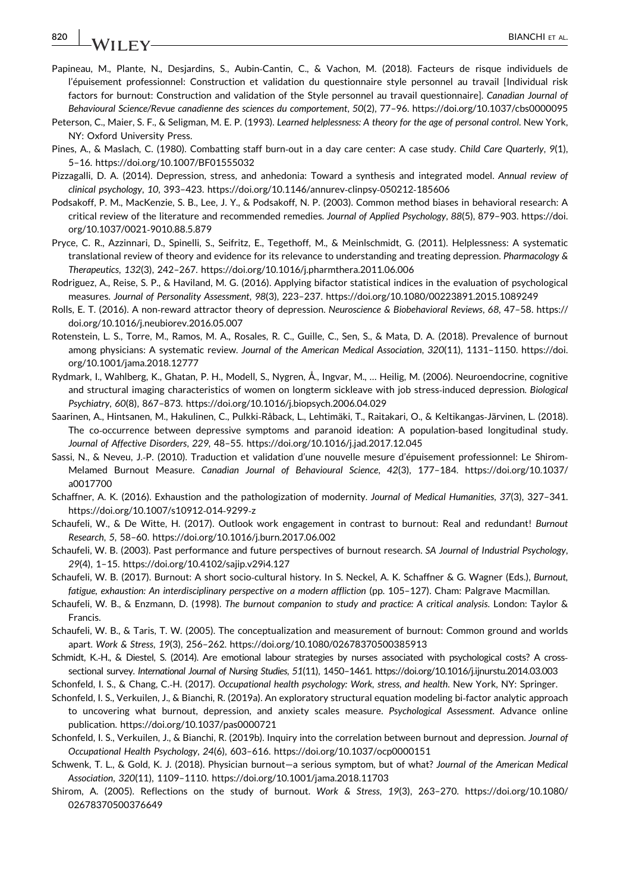# 820 | BIANCHI ET AL.

- Papineau, M., Plante, N., Desjardins, S., Aubin‐Cantin, C., & Vachon, M. (2018). Facteurs de risque individuels de l'épuisement professionnel: Construction et validation du questionnaire style personnel au travail [Individual risk factors for burnout: Construction and validation of the Style personnel au travail questionnaire]. Canadian Journal of Behavioural Science/Revue canadienne des sciences du comportement, 50(2), 77–96.<https://doi.org/10.1037/cbs0000095>
- Peterson, C., Maier, S. F., & Seligman, M. E. P. (1993). Learned helplessness: A theory for the age of personal control. New York, NY: Oxford University Press.
- Pines, A., & Maslach, C. (1980). Combatting staff burn‐out in a day care center: A case study. Child Care Quarterly, 9(1), 5–16.<https://doi.org/10.1007/BF01555032>
- Pizzagalli, D. A. (2014). Depression, stress, and anhedonia: Toward a synthesis and integrated model. Annual review of clinical psychology, 10, 393–423. [https://doi.org/10.1146/annurev](https://doi.org/10.1146/annurev-clinpsy-050212-185606)‐clinpsy‐050212‐185606
- Podsakoff, P. M., MacKenzie, S. B., Lee, J. Y., & Podsakoff, N. P. (2003). Common method biases in behavioral research: A critical review of the literature and recommended remedies. Journal of Applied Psychology, 88(5), 879–903. [https://doi.](https://doi.org/10.1037/0021-9010.88.5.879) [org/10.1037/0021](https://doi.org/10.1037/0021-9010.88.5.879)‐9010.88.5.879
- Pryce, C. R., Azzinnari, D., Spinelli, S., Seifritz, E., Tegethoff, M., & Meinlschmidt, G. (2011). Helplessness: A systematic translational review of theory and evidence for its relevance to understanding and treating depression. Pharmacology & Therapeutics, 132(3), 242–267.<https://doi.org/10.1016/j.pharmthera.2011.06.006>
- Rodriguez, A., Reise, S. P., & Haviland, M. G. (2016). Applying bifactor statistical indices in the evaluation of psychological measures. Journal of Personality Assessment, 98(3), 223–237.<https://doi.org/10.1080/00223891.2015.1089249>
- Rolls, E. T. (2016). A non‐reward attractor theory of depression. Neuroscience & Biobehavioral Reviews, 68, 47–58. [https://](https://doi.org/10.1016/j.neubiorev.2016.05.007) [doi.org/10.1016/j.neubiorev.2016.05.007](https://doi.org/10.1016/j.neubiorev.2016.05.007)
- Rotenstein, L. S., Torre, M., Ramos, M. A., Rosales, R. C., Guille, C., Sen, S., & Mata, D. A. (2018). Prevalence of burnout among physicians: A systematic review. Journal of the American Medical Association, 320(11), 1131–1150. [https://doi.](https://doi.org/10.1001/jama.2018.12777) [org/10.1001/jama.2018.12777](https://doi.org/10.1001/jama.2018.12777)
- Rydmark, I., Wahlberg, K., Ghatan, P. H., Modell, S., Nygren, Å., Ingvar, M., … Heilig, M. (2006). Neuroendocrine, cognitive and structural imaging characteristics of women on longterm sickleave with job stress-induced depression. Biological Psychiatry, 60(8), 867–873.<https://doi.org/10.1016/j.biopsych.2006.04.029>
- Saarinen, A., Hintsanen, M., Hakulinen, C., Pulkki‐Råback, L., Lehtimäki, T., Raitakari, O., & Keltikangas‐Järvinen, L. (2018). The co-occurrence between depressive symptoms and paranoid ideation: A population-based longitudinal study. Journal of Affective Disorders, 229, 48–55.<https://doi.org/10.1016/j.jad.2017.12.045>
- Sassi, N., & Neveu, J.-P. (2010). Traduction et validation d'une nouvelle mesure d'épuisement professionnel: Le Shirom-Melamed Burnout Measure. Canadian Journal of Behavioural Science, 42(3), 177–184. [https://doi.org/10.1037/](https://doi.org/10.1037/a0017700) [a0017700](https://doi.org/10.1037/a0017700)
- Schaffner, A. K. (2016). Exhaustion and the pathologization of modernity. Journal of Medical Humanities, 37(3), 327–341. [https://doi.org/10.1007/s10912](https://doi.org/10.1007/s10912-014-9299-z)‐014‐9299‐z
- Schaufeli, W., & De Witte, H. (2017). Outlook work engagement in contrast to burnout: Real and redundant! Burnout Research, 5, 58–60.<https://doi.org/10.1016/j.burn.2017.06.002>
- Schaufeli, W. B. (2003). Past performance and future perspectives of burnout research. SA Journal of Industrial Psychology, 29(4), 1–15.<https://doi.org/10.4102/sajip.v29i4.127>
- Schaufeli, W. B. (2017). Burnout: A short socio‐cultural history. In S. Neckel, A. K. Schaffner & G. Wagner (Eds.), Burnout, fatigue, exhaustion: An interdisciplinary perspective on a modern affliction (pp. 105–127). Cham: Palgrave Macmillan.
- Schaufeli, W. B., & Enzmann, D. (1998). The burnout companion to study and practice: A critical analysis. London: Taylor & Francis.
- Schaufeli, W. B., & Taris, T. W. (2005). The conceptualization and measurement of burnout: Common ground and worlds apart. Work & Stress, 19(3), 256–262.<https://doi.org/10.1080/02678370500385913>
- Schmidt, K.‐H., & Diestel, S. (2014). Are emotional labour strategies by nurses associated with psychological costs? A cross‐ sectional survey. International Journal of Nursing Studies, 51(11), 1450–1461.<https://doi.org/10.1016/j.ijnurstu.2014.03.003>
- Schonfeld, I. S., & Chang, C.‐H. (2017). Occupational health psychology: Work, stress, and health. New York, NY: Springer.
- Schonfeld, I. S., Verkuilen, J., & Bianchi, R. (2019a). An exploratory structural equation modeling bi‐factor analytic approach to uncovering what burnout, depression, and anxiety scales measure. Psychological Assessment. Advance online publication. https://doi.org/10.1037/pas0000721
- Schonfeld, I. S., Verkuilen, J., & Bianchi, R. (2019b). Inquiry into the correlation between burnout and depression. Journal of Occupational Health Psychology, 24(6), 603–616.<https://doi.org/10.1037/ocp0000151>
- Schwenk, T. L., & Gold, K. J. (2018). Physician burnout—a serious symptom, but of what? Journal of the American Medical Association, 320(11), 1109–1110.<https://doi.org/10.1001/jama.2018.11703>
- Shirom, A. (2005). Reflections on the study of burnout. Work & Stress, 19(3), 263–270. [https://doi.org/10.1080/](https://doi.org/10.1080/02678370500376649) [02678370500376649](https://doi.org/10.1080/02678370500376649)